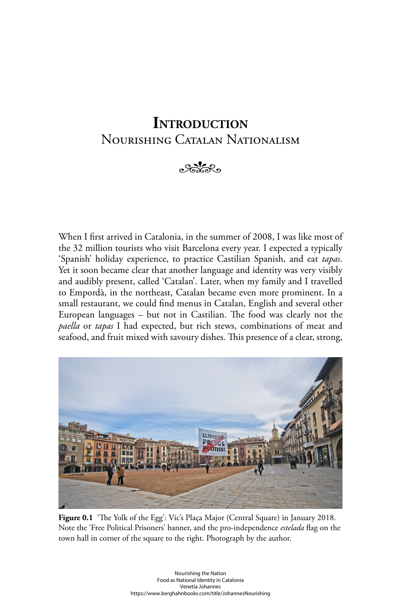# **INTRODUCTION** Nourishing Catalan Nationalism



When I first arrived in Catalonia, in the summer of 2008, I was like most of the 32 million tourists who visit Barcelona every year. I expected a typically 'Spanish' holiday experience, to practice Castilian Spanish, and eat *tapas*. Yet it soon became clear that another language and identity was very visibly and audibly present, called 'Catalan'. Later, when my family and I travelled to Empordà, in the northeast, Catalan became even more prominent. In a small restaurant, we could find menus in Catalan, English and several other European languages – but not in Castilian. The food was clearly not the *paella* or *tapas* I had expected, but rich stews, combinations of meat and seafood, and fruit mixed with savoury dishes. This presence of a clear, strong,



**Figure 0.1** 'The Yolk of the Egg': Vic's Plaça Major (Central Square) in January 2018. Note the 'Free Political Prisoners' banner, and the pro-independence *estelada* flag on the town hall in corner of the square to the right. Photograph by the author.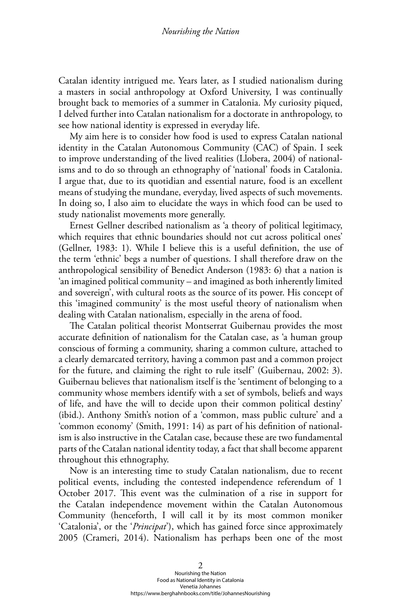Catalan identity intrigued me. Years later, as I studied nationalism during a masters in social anthropology at Oxford University, I was continually brought back to memories of a summer in Catalonia. My curiosity piqued, I delved further into Catalan nationalism for a doctorate in anthropology, to see how national identity is expressed in everyday life.

My aim here is to consider how food is used to express Catalan national identity in the Catalan Autonomous Community (CAC) of Spain. I seek to improve understanding of the lived realities (Llobera, 2004) of nationalisms and to do so through an ethnography of 'national' foods in Catalonia. I argue that, due to its quotidian and essential nature, food is an excellent means of studying the mundane, everyday, lived aspects of such movements. In doing so, I also aim to elucidate the ways in which food can be used to study nationalist movements more generally.

Ernest Gellner described nationalism as 'a theory of political legitimacy, which requires that ethnic boundaries should not cut across political ones' (Gellner, 1983: 1). While I believe this is a useful definition, the use of the term 'ethnic' begs a number of questions. I shall therefore draw on the anthropological sensibility of Benedict Anderson (1983: 6) that a nation is 'an imagined political community – and imagined as both inherently limited and sovereign', with cultural roots as the source of its power. His concept of this 'imagined community' is the most useful theory of nationalism when dealing with Catalan nationalism, especially in the arena of food.

The Catalan political theorist Montserrat Guibernau provides the most accurate definition of nationalism for the Catalan case, as 'a human group conscious of forming a community, sharing a common culture, attached to a clearly demarcated territory, having a common past and a common project for the future, and claiming the right to rule itself' (Guibernau, 2002: 3). Guibernau believes that nationalism itself is the 'sentiment of belonging to a community whose members identify with a set of symbols, beliefs and ways of life, and have the will to decide upon their common political destiny' (ibid.). Anthony Smith's notion of a 'common, mass public culture' and a 'common economy' (Smith, 1991: 14) as part of his definition of nationalism is also instructive in the Catalan case, because these are two fundamental parts of the Catalan national identity today, a fact that shall become apparent throughout this ethnography.

Now is an interesting time to study Catalan nationalism, due to recent political events, including the contested independence referendum of 1 October 2017. This event was the culmination of a rise in support for the Catalan independence movement within the Catalan Autonomous Community (henceforth, I will call it by its most common moniker 'Catalonia', or the '*Principat*'), which has gained force since approximately 2005 (Crameri, 2014). Nationalism has perhaps been one of the most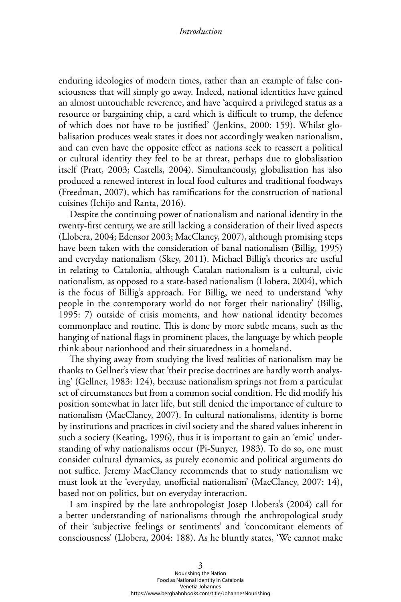enduring ideologies of modern times, rather than an example of false consciousness that will simply go away. Indeed, national identities have gained an almost untouchable reverence, and have 'acquired a privileged status as a resource or bargaining chip, a card which is difficult to trump, the defence of which does not have to be justified' (Jenkins, 2000: 159). Whilst globalisation produces weak states it does not accordingly weaken nationalism, and can even have the opposite effect as nations seek to reassert a political or cultural identity they feel to be at threat, perhaps due to globalisation itself (Pratt, 2003; Castells, 2004). Simultaneously, globalisation has also produced a renewed interest in local food cultures and traditional foodways (Freedman, 2007), which has ramifications for the construction of national cuisines (Ichijo and Ranta, 2016).

Despite the continuing power of nationalism and national identity in the twenty-first century, we are still lacking a consideration of their lived aspects (Llobera, 2004; Edensor 2003; MacClancy, 2007), although promising steps have been taken with the consideration of banal nationalism (Billig, 1995) and everyday nationalism (Skey, 2011). Michael Billig's theories are useful in relating to Catalonia, although Catalan nationalism is a cultural, civic nationalism, as opposed to a state-based nationalism (Llobera, 2004), which is the focus of Billig's approach. For Billig, we need to understand 'why people in the contemporary world do not forget their nationality' (Billig, 1995: 7) outside of crisis moments, and how national identity becomes commonplace and routine. This is done by more subtle means, such as the hanging of national flags in prominent places, the language by which people think about nationhood and their situatedness in a homeland.

The shying away from studying the lived realities of nationalism may be thanks to Gellner's view that 'their precise doctrines are hardly worth analysing' (Gellner, 1983: 124), because nationalism springs not from a particular set of circumstances but from a common social condition. He did modify his position somewhat in later life, but still denied the importance of culture to nationalism (MacClancy, 2007). In cultural nationalisms, identity is borne by institutions and practices in civil society and the shared values inherent in such a society (Keating, 1996), thus it is important to gain an 'emic' understanding of why nationalisms occur (Pi-Sunyer, 1983). To do so, one must consider cultural dynamics, as purely economic and political arguments do not suffice. Jeremy MacClancy recommends that to study nationalism we must look at the 'everyday, unofficial nationalism' (MacClancy, 2007: 14), based not on politics, but on everyday interaction.

I am inspired by the late anthropologist Josep Llobera's (2004) call for a better understanding of nationalisms through the anthropological study of their 'subjective feelings or sentiments' and 'concomitant elements of consciousness' (Llobera, 2004: 188). As he bluntly states, 'We cannot make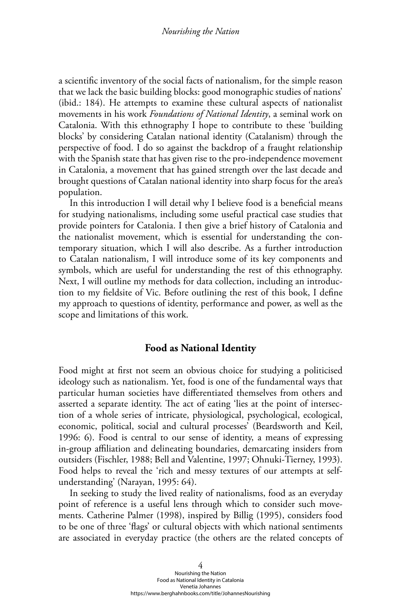a scientific inventory of the social facts of nationalism, for the simple reason that we lack the basic building blocks: good monographic studies of nations' (ibid.: 184). He attempts to examine these cultural aspects of nationalist movements in his work *Foundations of National Identity*, a seminal work on Catalonia. With this ethnography I hope to contribute to these 'building blocks' by considering Catalan national identity (Catalanism) through the perspective of food. I do so against the backdrop of a fraught relationship with the Spanish state that has given rise to the pro-independence movement in Catalonia, a movement that has gained strength over the last decade and brought questions of Catalan national identity into sharp focus for the area's population.

In this introduction I will detail why I believe food is a beneficial means for studying nationalisms, including some useful practical case studies that provide pointers for Catalonia. I then give a brief history of Catalonia and the nationalist movement, which is essential for understanding the contemporary situation, which I will also describe. As a further introduction to Catalan nationalism, I will introduce some of its key components and symbols, which are useful for understanding the rest of this ethnography. Next, I will outline my methods for data collection, including an introduction to my fieldsite of Vic. Before outlining the rest of this book, I define my approach to questions of identity, performance and power, as well as the scope and limitations of this work.

# **Food as National Identity**

Food might at first not seem an obvious choice for studying a politicised ideology such as nationalism. Yet, food is one of the fundamental ways that particular human societies have differentiated themselves from others and asserted a separate identity. The act of eating 'lies at the point of intersection of a whole series of intricate, physiological, psychological, ecological, economic, political, social and cultural processes' (Beardsworth and Keil, 1996: 6). Food is central to our sense of identity, a means of expressing in-group affiliation and delineating boundaries, demarcating insiders from outsiders (Fischler, 1988; Bell and Valentine, 1997; Ohnuki-Tierney, 1993). Food helps to reveal the 'rich and messy textures of our attempts at selfunderstanding' (Narayan, 1995: 64).

In seeking to study the lived reality of nationalisms, food as an everyday point of reference is a useful lens through which to consider such movements. Catherine Palmer (1998), inspired by Billig (1995), considers food to be one of three 'flags' or cultural objects with which national sentiments are associated in everyday practice (the others are the related concepts of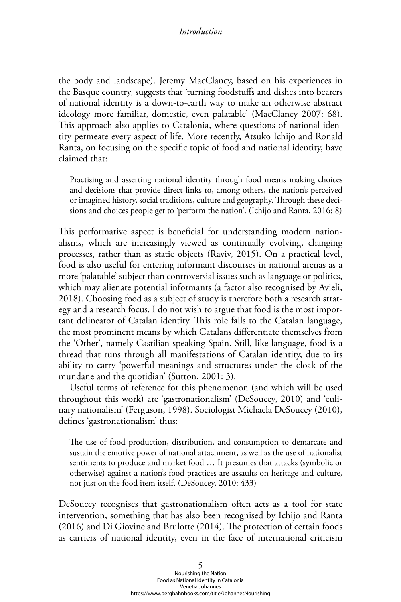the body and landscape). Jeremy MacClancy, based on his experiences in the Basque country, suggests that 'turning foodstuffs and dishes into bearers of national identity is a down-to-earth way to make an otherwise abstract ideology more familiar, domestic, even palatable' (MacClancy 2007: 68). This approach also applies to Catalonia, where questions of national identity permeate every aspect of life. More recently, Atsuko Ichijo and Ronald Ranta, on focusing on the specific topic of food and national identity, have claimed that:

Practising and asserting national identity through food means making choices and decisions that provide direct links to, among others, the nation's perceived or imagined history, social traditions, culture and geography. Through these decisions and choices people get to 'perform the nation'. (Ichijo and Ranta, 2016: 8)

This performative aspect is beneficial for understanding modern nationalisms, which are increasingly viewed as continually evolving, changing processes, rather than as static objects (Raviv, 2015). On a practical level, food is also useful for entering informant discourses in national arenas as a more 'palatable' subject than controversial issues such as language or politics, which may alienate potential informants (a factor also recognised by Avieli, 2018). Choosing food as a subject of study is therefore both a research strategy and a research focus. I do not wish to argue that food is the most important delineator of Catalan identity. This role falls to the Catalan language, the most prominent means by which Catalans differentiate themselves from the 'Other', namely Castilian-speaking Spain. Still, like language, food is a thread that runs through all manifestations of Catalan identity, due to its ability to carry 'powerful meanings and structures under the cloak of the mundane and the quotidian' (Sutton, 2001: 3).

Useful terms of reference for this phenomenon (and which will be used throughout this work) are 'gastronationalism' (DeSoucey, 2010) and 'culinary nationalism' (Ferguson, 1998). Sociologist Michaela DeSoucey (2010), defines 'gastronationalism' thus:

The use of food production, distribution, and consumption to demarcate and sustain the emotive power of national attachment, as well as the use of nationalist sentiments to produce and market food … It presumes that attacks (symbolic or otherwise) against a nation's food practices are assaults on heritage and culture, not just on the food item itself. (DeSoucey, 2010: 433)

DeSoucey recognises that gastronationalism often acts as a tool for state intervention, something that has also been recognised by Ichijo and Ranta (2016) and Di Giovine and Brulotte (2014). The protection of certain foods as carriers of national identity, even in the face of international criticism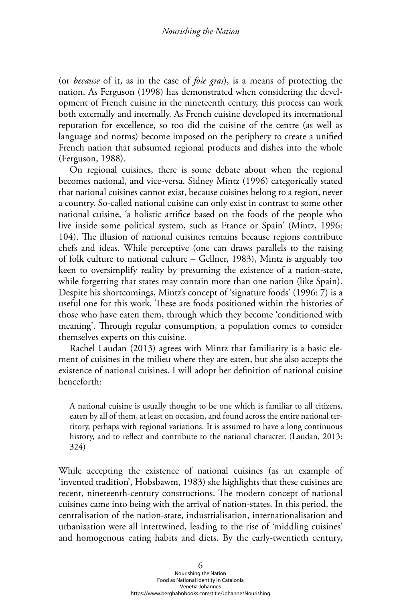(or *because* of it, as in the case of *foie gras*), is a means of protecting the nation. As Ferguson (1998) has demonstrated when considering the development of French cuisine in the nineteenth century, this process can work both externally and internally. As French cuisine developed its international reputation for excellence, so too did the cuisine of the centre (as well as language and norms) become imposed on the periphery to create a unified French nation that subsumed regional products and dishes into the whole (Ferguson, 1988).

On regional cuisines, there is some debate about when the regional becomes national, and vice-versa. Sidney Mintz (1996) categorically stated that national cuisines cannot exist, because cuisines belong to a region, never a country. So-called national cuisine can only exist in contrast to some other national cuisine, 'a holistic artifice based on the foods of the people who live inside some political system, such as France or Spain' (Mintz, 1996: 104). The illusion of national cuisines remains because regions contribute chefs and ideas. While perceptive (one can draws parallels to the raising of folk culture to national culture – Gellner, 1983), Mintz is arguably too keen to oversimplify reality by presuming the existence of a nation-state, while forgetting that states may contain more than one nation (like Spain). Despite his shortcomings, Mintz's concept of 'signature foods' (1996: 7) is a useful one for this work. These are foods positioned within the histories of those who have eaten them, through which they become 'conditioned with meaning'. Through regular consumption, a population comes to consider themselves experts on this cuisine.

Rachel Laudan (2013) agrees with Mintz that familiarity is a basic element of cuisines in the milieu where they are eaten, but she also accepts the existence of national cuisines. I will adopt her definition of national cuisine henceforth:

A national cuisine is usually thought to be one which is familiar to all citizens, eaten by all of them, at least on occasion, and found across the entire national territory, perhaps with regional variations. It is assumed to have a long continuous history, and to reflect and contribute to the national character. (Laudan, 2013: 324)

While accepting the existence of national cuisines (as an example of 'invented tradition', Hobsbawm, 1983) she highlights that these cuisines are recent, nineteenth-century constructions. The modern concept of national cuisines came into being with the arrival of nation-states. In this period, the centralisation of the nation-state, industrialisation, internationalisation and urbanisation were all intertwined, leading to the rise of 'middling cuisines' and homogenous eating habits and diets. By the early-twentieth century,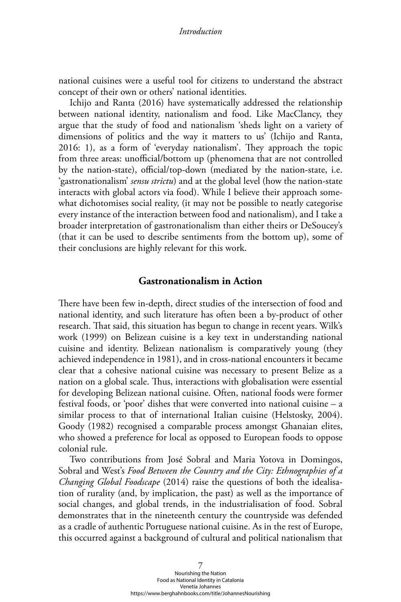national cuisines were a useful tool for citizens to understand the abstract concept of their own or others' national identities.

Ichijo and Ranta (2016) have systematically addressed the relationship between national identity, nationalism and food. Like MacClancy, they argue that the study of food and nationalism 'sheds light on a variety of dimensions of politics and the way it matters to us' (Ichijo and Ranta, 2016: 1), as a form of 'everyday nationalism'. They approach the topic from three areas: unofficial/bottom up (phenomena that are not controlled by the nation-state), official/top-down (mediated by the nation-state, i.e. 'gastronationalism' *sensu strictu*) and at the global level (how the nation-state interacts with global actors via food). While I believe their approach somewhat dichotomises social reality, (it may not be possible to neatly categorise every instance of the interaction between food and nationalism), and I take a broader interpretation of gastronationalism than either theirs or DeSoucey's (that it can be used to describe sentiments from the bottom up), some of their conclusions are highly relevant for this work.

# **Gastronationalism in Action**

There have been few in-depth, direct studies of the intersection of food and national identity, and such literature has often been a by-product of other research. That said, this situation has begun to change in recent years. Wilk's work (1999) on Belizean cuisine is a key text in understanding national cuisine and identity. Belizean nationalism is comparatively young (they achieved independence in 1981), and in cross-national encounters it became clear that a cohesive national cuisine was necessary to present Belize as a nation on a global scale. Thus, interactions with globalisation were essential for developing Belizean national cuisine. Often, national foods were former festival foods, or 'poor' dishes that were converted into national cuisine – a similar process to that of international Italian cuisine (Helstosky, 2004). Goody (1982) recognised a comparable process amongst Ghanaian elites, who showed a preference for local as opposed to European foods to oppose colonial rule.

Two contributions from José Sobral and Maria Yotova in Domingos, Sobral and West's *Food Between the Country and the City: Ethnographies of a Changing Global Foodscape* (2014) raise the questions of both the idealisation of rurality (and, by implication, the past) as well as the importance of social changes, and global trends, in the industrialisation of food. Sobral demonstrates that in the nineteenth century the countryside was defended as a cradle of authentic Portuguese national cuisine. As in the rest of Europe, this occurred against a background of cultural and political nationalism that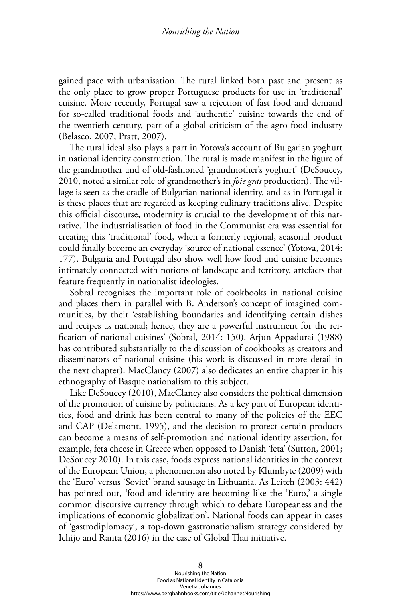gained pace with urbanisation. The rural linked both past and present as the only place to grow proper Portuguese products for use in 'traditional' cuisine. More recently, Portugal saw a rejection of fast food and demand for so-called traditional foods and 'authentic' cuisine towards the end of the twentieth century, part of a global criticism of the agro-food industry (Belasco, 2007; Pratt, 2007).

The rural ideal also plays a part in Yotova's account of Bulgarian yoghurt in national identity construction. The rural is made manifest in the figure of the grandmother and of old-fashioned 'grandmother's yoghurt' (DeSoucey, 2010, noted a similar role of grandmother's in *foie gras* production). The village is seen as the cradle of Bulgarian national identity, and as in Portugal it is these places that are regarded as keeping culinary traditions alive. Despite this official discourse, modernity is crucial to the development of this narrative. The industrialisation of food in the Communist era was essential for creating this 'traditional' food, when a formerly regional, seasonal product could finally become an everyday 'source of national essence' (Yotova, 2014: 177). Bulgaria and Portugal also show well how food and cuisine becomes intimately connected with notions of landscape and territory, artefacts that feature frequently in nationalist ideologies.

Sobral recognises the important role of cookbooks in national cuisine and places them in parallel with B. Anderson's concept of imagined communities, by their 'establishing boundaries and identifying certain dishes and recipes as national; hence, they are a powerful instrument for the reification of national cuisines' (Sobral, 2014: 150). Arjun Appadurai (1988) has contributed substantially to the discussion of cookbooks as creators and disseminators of national cuisine (his work is discussed in more detail in the next chapter). MacClancy (2007) also dedicates an entire chapter in his ethnography of Basque nationalism to this subject.

Like DeSoucey (2010), MacClancy also considers the political dimension of the promotion of cuisine by politicians. As a key part of European identities, food and drink has been central to many of the policies of the EEC and CAP (Delamont, 1995), and the decision to protect certain products can become a means of self-promotion and national identity assertion, for example, feta cheese in Greece when opposed to Danish 'feta' (Sutton, 2001; DeSoucey 2010). In this case, foods express national identities in the context of the European Union, a phenomenon also noted by Klumbyte (2009) with the 'Euro' versus 'Soviet' brand sausage in Lithuania. As Leitch (2003: 442) has pointed out, 'food and identity are becoming like the 'Euro,' a single common discursive currency through which to debate Europeaness and the implications of economic globalization'. National foods can appear in cases of 'gastrodiplomacy', a top-down gastronationalism strategy considered by Ichijo and Ranta (2016) in the case of Global Thai initiative.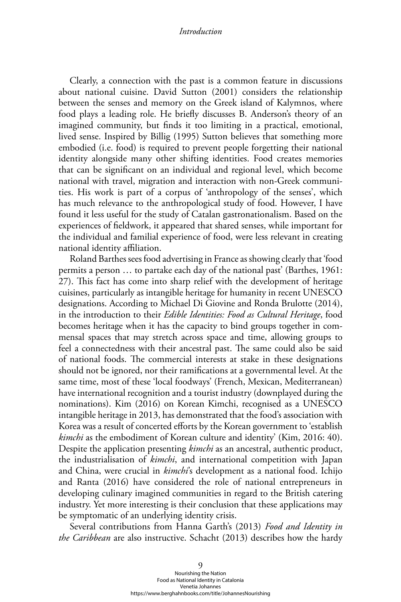Clearly, a connection with the past is a common feature in discussions about national cuisine. David Sutton (2001) considers the relationship between the senses and memory on the Greek island of Kalymnos, where food plays a leading role. He briefly discusses B. Anderson's theory of an imagined community, but finds it too limiting in a practical, emotional, lived sense. Inspired by Billig (1995) Sutton believes that something more embodied (i.e. food) is required to prevent people forgetting their national identity alongside many other shifting identities. Food creates memories that can be significant on an individual and regional level, which become national with travel, migration and interaction with non-Greek communities. His work is part of a corpus of 'anthropology of the senses', which has much relevance to the anthropological study of food. However, I have found it less useful for the study of Catalan gastronationalism. Based on the experiences of fieldwork, it appeared that shared senses, while important for the individual and familial experience of food, were less relevant in creating national identity affiliation.

Roland Barthes sees food advertising in France as showing clearly that 'food permits a person … to partake each day of the national past' (Barthes, 1961: 27). This fact has come into sharp relief with the development of heritage cuisines, particularly as intangible heritage for humanity in recent UNESCO designations. According to Michael Di Giovine and Ronda Brulotte (2014), in the introduction to their *Edible Identities: Food as Cultural Heritage*, food becomes heritage when it has the capacity to bind groups together in commensal spaces that may stretch across space and time, allowing groups to feel a connectedness with their ancestral past. The same could also be said of national foods. The commercial interests at stake in these designations should not be ignored, nor their ramifications at a governmental level. At the same time, most of these 'local foodways' (French, Mexican, Mediterranean) have international recognition and a tourist industry (downplayed during the nominations). Kim (2016) on Korean Kimchi, recognised as a UNESCO intangible heritage in 2013, has demonstrated that the food's association with Korea was a result of concerted efforts by the Korean government to 'establish *kimchi* as the embodiment of Korean culture and identity' (Kim, 2016: 40). Despite the application presenting *kimchi* as an ancestral, authentic product, the industrialisation of *kimchi*, and international competition with Japan and China, were crucial in *kimchi*'s development as a national food. Ichijo and Ranta (2016) have considered the role of national entrepreneurs in developing culinary imagined communities in regard to the British catering industry. Yet more interesting is their conclusion that these applications may be symptomatic of an underlying identity crisis.

Several contributions from Hanna Garth's (2013) *Food and Identity in the Caribbean* are also instructive. Schacht (2013) describes how the hardy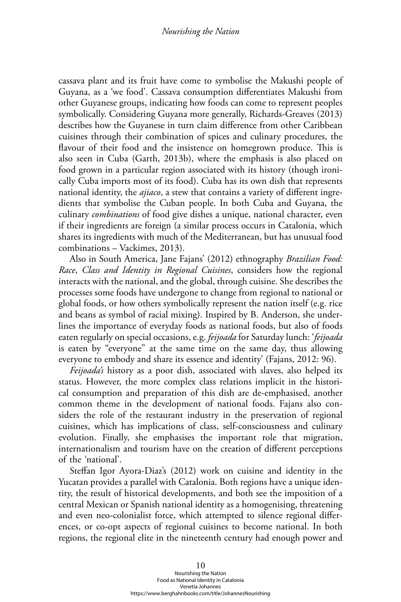cassava plant and its fruit have come to symbolise the Makushi people of Guyana, as a 'we food'. Cassava consumption differentiates Makushi from other Guyanese groups, indicating how foods can come to represent peoples symbolically. Considering Guyana more generally, Richards-Greaves (2013) describes how the Guyanese in turn claim difference from other Caribbean cuisines through their combination of spices and culinary procedures, the flavour of their food and the insistence on homegrown produce. This is also seen in Cuba (Garth, 2013b), where the emphasis is also placed on food grown in a particular region associated with its history (though ironically Cuba imports most of its food). Cuba has its own dish that represents national identity, the *ajiaco*, a stew that contains a variety of different ingredients that symbolise the Cuban people. In both Cuba and Guyana, the culinary *combinations* of food give dishes a unique, national character, even if their ingredients are foreign (a similar process occurs in Catalonia, which shares its ingredients with much of the Mediterranean, but has unusual food combinations – Vackimes, 2013).

Also in South America, Jane Fajans' (2012) ethnography *Brazilian Food: Race*, *Class and Identity in Regional Cuisines*, considers how the regional interacts with the national, and the global, through cuisine. She describes the processes some foods have undergone to change from regional to national or global foods, or how others symbolically represent the nation itself (e.g. rice and beans as symbol of racial mixing). Inspired by B. Anderson, she underlines the importance of everyday foods as national foods, but also of foods eaten regularly on special occasions, e.g. *feijoada* for Saturday lunch: '*feijoada*  is eaten by "everyone" at the same time on the same day, thus allowing everyone to embody and share its essence and identity' (Fajans, 2012: 96).

*Feijoada's* history as a poor dish, associated with slaves, also helped its status. However, the more complex class relations implicit in the historical consumption and preparation of this dish are de-emphasised, another common theme in the development of national foods. Fajans also considers the role of the restaurant industry in the preservation of regional cuisines, which has implications of class, self-consciousness and culinary evolution. Finally, she emphasises the important role that migration, internationalism and tourism have on the creation of different perceptions of the 'national'.

Steffan Igor Ayora-Diaz's (2012) work on cuisine and identity in the Yucatan provides a parallel with Catalonia. Both regions have a unique identity, the result of historical developments, and both see the imposition of a central Mexican or Spanish national identity as a homogenising, threatening and even neo-colonialist force, which attempted to silence regional differences, or co-opt aspects of regional cuisines to become national. In both regions, the regional elite in the nineteenth century had enough power and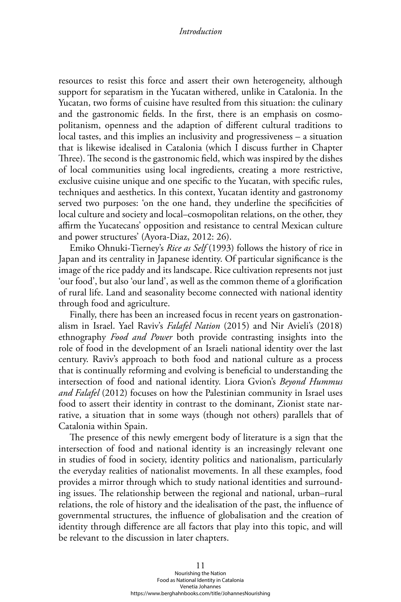resources to resist this force and assert their own heterogeneity, although support for separatism in the Yucatan withered, unlike in Catalonia. In the Yucatan, two forms of cuisine have resulted from this situation: the culinary and the gastronomic fields. In the first, there is an emphasis on cosmopolitanism, openness and the adaption of different cultural traditions to local tastes, and this implies an inclusivity and progressiveness – a situation that is likewise idealised in Catalonia (which I discuss further in Chapter Three). The second is the gastronomic field, which was inspired by the dishes of local communities using local ingredients, creating a more restrictive, exclusive cuisine unique and one specific to the Yucatan, with specific rules, techniques and aesthetics. In this context, Yucatan identity and gastronomy served two purposes: 'on the one hand, they underline the specificities of local culture and society and local–cosmopolitan relations, on the other, they affirm the Yucatecans' opposition and resistance to central Mexican culture and power structures' (Ayora-Diaz, 2012: 26).

Emiko Ohnuki-Tierney's *Rice as Self* (1993) follows the history of rice in Japan and its centrality in Japanese identity. Of particular significance is the image of the rice paddy and its landscape. Rice cultivation represents not just 'our food', but also 'our land', as well as the common theme of a glorification of rural life. Land and seasonality become connected with national identity through food and agriculture.

Finally, there has been an increased focus in recent years on gastronationalism in Israel. Yael Raviv's *Falafel Nation* (2015) and Nir Avieli's (2018) ethnography *Food and Power* both provide contrasting insights into the role of food in the development of an Israeli national identity over the last century. Raviv's approach to both food and national culture as a process that is continually reforming and evolving is beneficial to understanding the intersection of food and national identity. Liora Gvion's *Beyond Hummus and Falafel* (2012) focuses on how the Palestinian community in Israel uses food to assert their identity in contrast to the dominant, Zionist state narrative, a situation that in some ways (though not others) parallels that of Catalonia within Spain.

The presence of this newly emergent body of literature is a sign that the intersection of food and national identity is an increasingly relevant one in studies of food in society, identity politics and nationalism, particularly the everyday realities of nationalist movements. In all these examples, food provides a mirror through which to study national identities and surrounding issues. The relationship between the regional and national, urban–rural relations, the role of history and the idealisation of the past, the influence of governmental structures, the influence of globalisation and the creation of identity through difference are all factors that play into this topic, and will be relevant to the discussion in later chapters.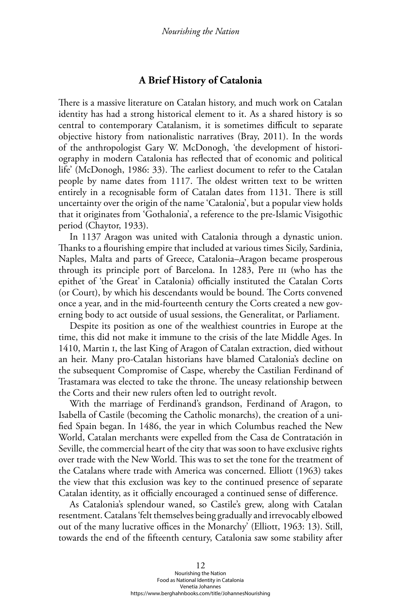# **A Brief History of Catalonia**

There is a massive literature on Catalan history, and much work on Catalan identity has had a strong historical element to it. As a shared history is so central to contemporary Catalanism, it is sometimes difficult to separate objective history from nationalistic narratives (Bray, 2011). In the words of the anthropologist Gary W. McDonogh, 'the development of historiography in modern Catalonia has reflected that of economic and political life' (McDonogh, 1986: 33). The earliest document to refer to the Catalan people by name dates from 1117. The oldest written text to be written entirely in a recognisable form of Catalan dates from 1131. There is still uncertainty over the origin of the name 'Catalonia', but a popular view holds that it originates from 'Gothalonia', a reference to the pre-Islamic Visigothic period (Chaytor, 1933).

In 1137 Aragon was united with Catalonia through a dynastic union. Thanks to a flourishing empire that included at various times Sicily, Sardinia, Naples, Malta and parts of Greece, Catalonia–Aragon became prosperous through its principle port of Barcelona. In 1283, Pere iii (who has the epithet of 'the Great' in Catalonia) officially instituted the Catalan Corts (or Court), by which his descendants would be bound. The Corts convened once a year, and in the mid-fourteenth century the Corts created a new governing body to act outside of usual sessions, the Generalitat, or Parliament.

Despite its position as one of the wealthiest countries in Europe at the time, this did not make it immune to the crisis of the late Middle Ages. In 1410, Martin i, the last King of Aragon of Catalan extraction, died without an heir. Many pro-Catalan historians have blamed Catalonia's decline on the subsequent Compromise of Caspe, whereby the Castilian Ferdinand of Trastamara was elected to take the throne. The uneasy relationship between the Corts and their new rulers often led to outright revolt.

With the marriage of Ferdinand's grandson, Ferdinand of Aragon, to Isabella of Castile (becoming the Catholic monarchs), the creation of a unified Spain began. In 1486, the year in which Columbus reached the New World, Catalan merchants were expelled from the Casa de Contratación in Seville, the commercial heart of the city that was soon to have exclusive rights over trade with the New World. This was to set the tone for the treatment of the Catalans where trade with America was concerned. Elliott (1963) takes the view that this exclusion was key to the continued presence of separate Catalan identity, as it officially encouraged a continued sense of difference.

As Catalonia's splendour waned, so Castile's grew, along with Catalan resentment. Catalans 'felt themselves being gradually and irrevocably elbowed out of the many lucrative offices in the Monarchy' (Elliott, 1963: 13). Still, towards the end of the fifteenth century, Catalonia saw some stability after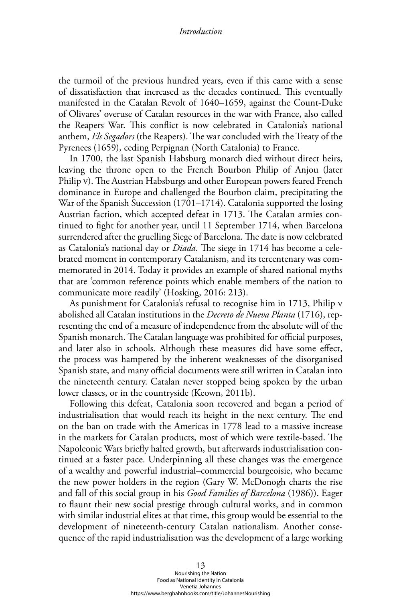the turmoil of the previous hundred years, even if this came with a sense of dissatisfaction that increased as the decades continued. This eventually manifested in the Catalan Revolt of 1640–1659, against the Count-Duke of Olivares' overuse of Catalan resources in the war with France, also called the Reapers War. This conflict is now celebrated in Catalonia's national anthem, *Els Segadors* (the Reapers). The war concluded with the Treaty of the Pyrenees (1659), ceding Perpignan (North Catalonia) to France.

In 1700, the last Spanish Habsburg monarch died without direct heirs, leaving the throne open to the French Bourbon Philip of Anjou (later Philip v). The Austrian Habsburgs and other European powers feared French dominance in Europe and challenged the Bourbon claim, precipitating the War of the Spanish Succession (1701–1714). Catalonia supported the losing Austrian faction, which accepted defeat in 1713. The Catalan armies continued to fight for another year, until 11 September 1714, when Barcelona surrendered after the gruelling Siege of Barcelona. The date is now celebrated as Catalonia's national day or *Diada*. The siege in 1714 has become a celebrated moment in contemporary Catalanism, and its tercentenary was commemorated in 2014. Today it provides an example of shared national myths that are 'common reference points which enable members of the nation to communicate more readily' (Hosking, 2016: 213).

As punishment for Catalonia's refusal to recognise him in 1713, Philip v abolished all Catalan institutions in the *Decreto de Nueva Planta* (1716), representing the end of a measure of independence from the absolute will of the Spanish monarch. The Catalan language was prohibited for official purposes, and later also in schools. Although these measures did have some effect, the process was hampered by the inherent weaknesses of the disorganised Spanish state, and many official documents were still written in Catalan into the nineteenth century. Catalan never stopped being spoken by the urban lower classes, or in the countryside (Keown, 2011b).

Following this defeat, Catalonia soon recovered and began a period of industrialisation that would reach its height in the next century. The end on the ban on trade with the Americas in 1778 lead to a massive increase in the markets for Catalan products, most of which were textile-based. The Napoleonic Wars briefly halted growth, but afterwards industrialisation continued at a faster pace. Underpinning all these changes was the emergence of a wealthy and powerful industrial–commercial bourgeoisie, who became the new power holders in the region (Gary W. McDonogh charts the rise and fall of this social group in his *Good Families of Barcelona* (1986)). Eager to flaunt their new social prestige through cultural works, and in common with similar industrial elites at that time, this group would be essential to the development of nineteenth-century Catalan nationalism. Another consequence of the rapid industrialisation was the development of a large working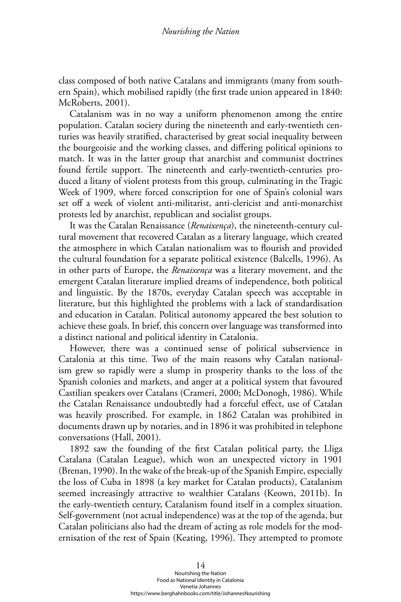class composed of both native Catalans and immigrants (many from southern Spain), which mobilised rapidly (the first trade union appeared in 1840: McRoberts, 2001).

Catalanism was in no way a uniform phenomenon among the entire population. Catalan society during the nineteenth and early-twentieth centuries was heavily stratified, characterised by great social inequality between the bourgeoisie and the working classes, and differing political opinions to match. It was in the latter group that anarchist and communist doctrines found fertile support. The nineteenth and early-twentieth-centuries produced a litany of violent protests from this group, culminating in the Tragic Week of 1909, where forced conscription for one of Spain's colonial wars set off a week of violent anti-militarist, anti-clericist and anti-monarchist protests led by anarchist, republican and socialist groups.

It was the Catalan Renaissance (*Renaixença*), the nineteenth-century cultural movement that recovered Catalan as a literary language, which created the atmosphere in which Catalan nationalism was to flourish and provided the cultural foundation for a separate political existence (Balcells, 1996). As in other parts of Europe, the *Renaixença* was a literary movement, and the emergent Catalan literature implied dreams of independence, both political and linguistic. By the 1870s, everyday Catalan speech was acceptable in literature, but this highlighted the problems with a lack of standardisation and education in Catalan. Political autonomy appeared the best solution to achieve these goals. In brief, this concern over language was transformed into a distinct national and political identity in Catalonia.

However, there was a continued sense of political subservience in Catalonia at this time. Two of the main reasons why Catalan nationalism grew so rapidly were a slump in prosperity thanks to the loss of the Spanish colonies and markets, and anger at a political system that favoured Castilian speakers over Catalans (Crameri, 2000; McDonogh, 1986). While the Catalan Renaissance undoubtedly had a forceful effect, use of Catalan was heavily proscribed. For example, in 1862 Catalan was prohibited in documents drawn up by notaries, and in 1896 it was prohibited in telephone conversations (Hall, 2001).

1892 saw the founding of the first Catalan political party, the Lliga Catalana (Catalan League), which won an unexpected victory in 1901 (Brenan, 1990). In the wake of the break-up of the Spanish Empire, especially the loss of Cuba in 1898 (a key market for Catalan products), Catalanism seemed increasingly attractive to wealthier Catalans (Keown, 2011b). In the early-twentieth century, Catalanism found itself in a complex situation. Self-government (not actual independence) was at the top of the agenda, but Catalan politicians also had the dream of acting as role models for the modernisation of the rest of Spain (Keating, 1996). They attempted to promote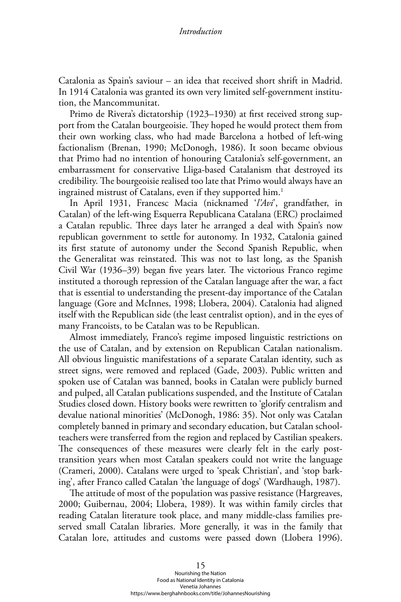Catalonia as Spain's saviour – an idea that received short shrift in Madrid. In 1914 Catalonia was granted its own very limited self-government institution, the Mancommunitat.

Primo de Rivera's dictatorship (1923–1930) at first received strong support from the Catalan bourgeoisie. They hoped he would protect them from their own working class, who had made Barcelona a hotbed of left-wing factionalism (Brenan, 1990; McDonogh, 1986). It soon became obvious that Primo had no intention of honouring Catalonia's self-government, an embarrassment for conservative Lliga-based Catalanism that destroyed its credibility. The bourgeoisie realised too late that Primo would always have an ingrained mistrust of Catalans, even if they supported him.<sup>1</sup>

In April 1931, Francesc Macia (nicknamed '*l'Avi*', grandfather, in Catalan) of the left-wing Esquerra Republicana Catalana (ERC) proclaimed a Catalan republic. Three days later he arranged a deal with Spain's now republican government to settle for autonomy. In 1932, Catalonia gained its first statute of autonomy under the Second Spanish Republic, when the Generalitat was reinstated. This was not to last long, as the Spanish Civil War (1936–39) began five years later. The victorious Franco regime instituted a thorough repression of the Catalan language after the war, a fact that is essential to understanding the present-day importance of the Catalan language (Gore and McInnes, 1998; Llobera, 2004). Catalonia had aligned itself with the Republican side (the least centralist option), and in the eyes of many Francoists, to be Catalan was to be Republican.

Almost immediately, Franco's regime imposed linguistic restrictions on the use of Catalan, and by extension on Republican Catalan nationalism. All obvious linguistic manifestations of a separate Catalan identity, such as street signs, were removed and replaced (Gade, 2003). Public written and spoken use of Catalan was banned, books in Catalan were publicly burned and pulped, all Catalan publications suspended, and the Institute of Catalan Studies closed down. History books were rewritten to 'glorify centralism and devalue national minorities' (McDonogh, 1986: 35). Not only was Catalan completely banned in primary and secondary education, but Catalan schoolteachers were transferred from the region and replaced by Castilian speakers. The consequences of these measures were clearly felt in the early posttransition years when most Catalan speakers could not write the language (Crameri, 2000). Catalans were urged to 'speak Christian', and 'stop barking', after Franco called Catalan 'the language of dogs' (Wardhaugh, 1987).

The attitude of most of the population was passive resistance (Hargreaves, 2000; Guibernau, 2004; Llobera, 1989). It was within family circles that reading Catalan literature took place, and many middle-class families preserved small Catalan libraries. More generally, it was in the family that Catalan lore, attitudes and customs were passed down (Llobera 1996).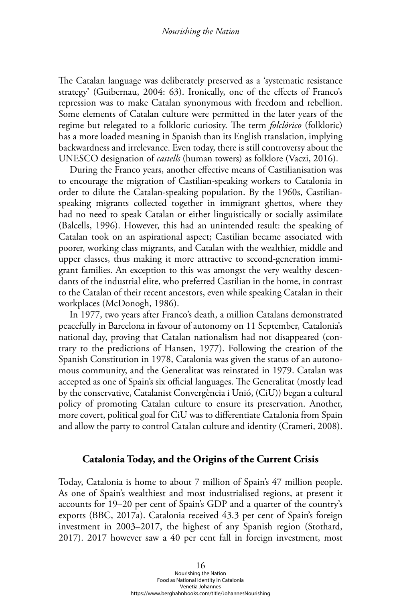The Catalan language was deliberately preserved as a 'systematic resistance strategy' (Guibernau, 2004: 63). Ironically, one of the effects of Franco's repression was to make Catalan synonymous with freedom and rebellion. Some elements of Catalan culture were permitted in the later years of the regime but relegated to a folkloric curiosity. The term *folclórico* (folkloric) has a more loaded meaning in Spanish than its English translation, implying backwardness and irrelevance. Even today, there is still controversy about the UNESCO designation of *castells* (human towers) as folklore (Vaczi, 2016).

During the Franco years, another effective means of Castilianisation was to encourage the migration of Castilian-speaking workers to Catalonia in order to dilute the Catalan-speaking population. By the 1960s, Castilianspeaking migrants collected together in immigrant ghettos, where they had no need to speak Catalan or either linguistically or socially assimilate (Balcells, 1996). However, this had an unintended result: the speaking of Catalan took on an aspirational aspect; Castilian became associated with poorer, working class migrants, and Catalan with the wealthier, middle and upper classes, thus making it more attractive to second-generation immigrant families. An exception to this was amongst the very wealthy descendants of the industrial elite, who preferred Castilian in the home, in contrast to the Catalan of their recent ancestors, even while speaking Catalan in their workplaces (McDonogh, 1986).

In 1977, two years after Franco's death, a million Catalans demonstrated peacefully in Barcelona in favour of autonomy on 11 September, Catalonia's national day, proving that Catalan nationalism had not disappeared (contrary to the predictions of Hansen, 1977). Following the creation of the Spanish Constitution in 1978, Catalonia was given the status of an autonomous community, and the Generalitat was reinstated in 1979. Catalan was accepted as one of Spain's six official languages. The Generalitat (mostly lead by the conservative, Catalanist Convergència i Unió, (CiU)) began a cultural policy of promoting Catalan culture to ensure its preservation. Another, more covert, political goal for CiU was to differentiate Catalonia from Spain and allow the party to control Catalan culture and identity (Crameri, 2008).

# **Catalonia Today, and the Origins of the Current Crisis**

Today, Catalonia is home to about 7 million of Spain's 47 million people. As one of Spain's wealthiest and most industrialised regions, at present it accounts for 19–20 per cent of Spain's GDP and a quarter of the country's exports (BBC, 2017a). Catalonia received 43.3 per cent of Spain's foreign investment in 2003–2017, the highest of any Spanish region (Stothard, 2017). 2017 however saw a 40 per cent fall in foreign investment, most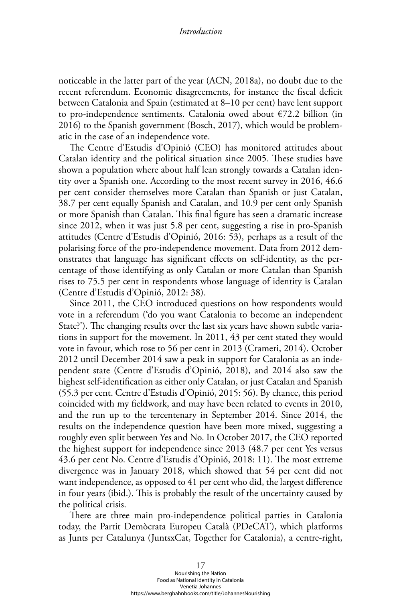noticeable in the latter part of the year (ACN, 2018a), no doubt due to the recent referendum. Economic disagreements, for instance the fiscal deficit between Catalonia and Spain (estimated at 8–10 per cent) have lent support to pro-independence sentiments. Catalonia owed about €72.2 billion (in 2016) to the Spanish government (Bosch, 2017), which would be problematic in the case of an independence vote.

The Centre d'Estudis d'Opinió (CEO) has monitored attitudes about Catalan identity and the political situation since 2005. These studies have shown a population where about half lean strongly towards a Catalan identity over a Spanish one. According to the most recent survey in 2016, 46.6 per cent consider themselves more Catalan than Spanish or just Catalan, 38.7 per cent equally Spanish and Catalan, and 10.9 per cent only Spanish or more Spanish than Catalan. This final figure has seen a dramatic increase since 2012, when it was just 5.8 per cent, suggesting a rise in pro-Spanish attitudes (Centre d'Estudis d'Opinió, 2016: 53), perhaps as a result of the polarising force of the pro-independence movement. Data from 2012 demonstrates that language has significant effects on self-identity, as the percentage of those identifying as only Catalan or more Catalan than Spanish rises to 75.5 per cent in respondents whose language of identity is Catalan (Centre d'Estudis d'Opinió, 2012: 38).

Since 2011, the CEO introduced questions on how respondents would vote in a referendum ('do you want Catalonia to become an independent State?'). The changing results over the last six years have shown subtle variations in support for the movement. In 2011, 43 per cent stated they would vote in favour, which rose to 56 per cent in 2013 (Crameri, 2014). October 2012 until December 2014 saw a peak in support for Catalonia as an independent state (Centre d'Estudis d'Opinió, 2018), and 2014 also saw the highest self-identification as either only Catalan, or just Catalan and Spanish (55.3 per cent. Centre d'Estudis d'Opinió, 2015: 56). By chance, this period coincided with my fieldwork, and may have been related to events in 2010, and the run up to the tercentenary in September 2014. Since 2014, the results on the independence question have been more mixed, suggesting a roughly even split between Yes and No. In October 2017, the CEO reported the highest support for independence since 2013 (48.7 per cent Yes versus 43.6 per cent No. Centre d'Estudis d'Opinió, 2018: 11). The most extreme divergence was in January 2018, which showed that 54 per cent did not want independence, as opposed to 41 per cent who did, the largest difference in four years (ibid.). This is probably the result of the uncertainty caused by the political crisis.

There are three main pro-independence political parties in Catalonia today, the Partit Demòcrata Europeu Català (PDeCAT), which platforms as Junts per Catalunya (JuntsxCat, Together for Catalonia), a centre-right,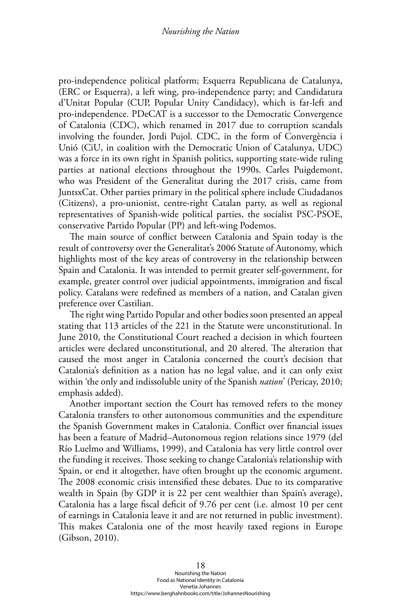pro-independence political platform; Esquerra Republicana de Catalunya, (ERC or Esquerra), a left wing, pro-independence party; and Candidatura d'Unitat Popular (CUP, Popular Unity Candidacy), which is far-left and pro-independence. PDeCAT is a successor to the Democratic Convergence of Catalonia (CDC), which renamed in 2017 due to corruption scandals involving the founder, Jordi Pujol. CDC, in the form of Convergència i Unió (CiU, in coalition with the Democratic Union of Catalunya, UDC) was a force in its own right in Spanish politics, supporting state-wide ruling parties at national elections throughout the 1990s. Carles Puigdemont, who was President of the Generalitat during the 2017 crisis, came from JuntsxCat. Other parties primary in the political sphere include Ciudadanos (Citizens), a pro-unionist, centre-right Catalan party, as well as regional representatives of Spanish-wide political parties, the socialist PSC-PSOE, conservative Partido Popular (PP) and left-wing Podemos.

The main source of conflict between Catalonia and Spain today is the result of controversy over the Generalitat's 2006 Statute of Autonomy, which highlights most of the key areas of controversy in the relationship between Spain and Catalonia. It was intended to permit greater self-government, for example, greater control over judicial appointments, immigration and fiscal policy. Catalans were redefined as members of a nation, and Catalan given preference over Castilian.

The right wing Partido Popular and other bodies soon presented an appeal stating that 113 articles of the 221 in the Statute were unconstitutional. In June 2010, the Constitutional Court reached a decision in which fourteen articles were declared unconstitutional, and 20 altered. The alteration that caused the most anger in Catalonia concerned the court's decision that Catalonia's definition as a nation has no legal value, and it can only exist within 'the only and indissoluble unity of the Spanish *nation*' (Pericay, 2010; emphasis added).

Another important section the Court has removed refers to the money Catalonia transfers to other autonomous communities and the expenditure the Spanish Government makes in Catalonia. Conflict over financial issues has been a feature of Madrid–Autonomous region relations since 1979 (del Río Luelmo and Williams, 1999), and Catalonia has very little control over the funding it receives. Those seeking to change Catalonia's relationship with Spain, or end it altogether, have often brought up the economic argument. The 2008 economic crisis intensified these debates. Due to its comparative wealth in Spain (by GDP it is 22 per cent wealthier than Spain's average), Catalonia has a large fiscal deficit of 9.76 per cent (i.e. almost 10 per cent of earnings in Catalonia leave it and are not returned in public investment). This makes Catalonia one of the most heavily taxed regions in Europe (Gibson, 2010).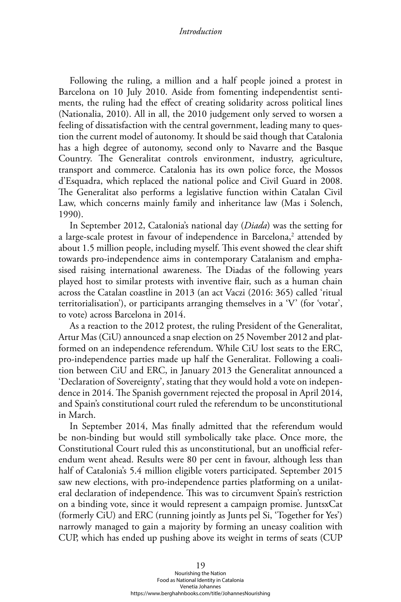Following the ruling, a million and a half people joined a protest in Barcelona on 10 July 2010. Aside from fomenting independentist sentiments, the ruling had the effect of creating solidarity across political lines (Nationalia, 2010). All in all, the 2010 judgement only served to worsen a feeling of dissatisfaction with the central government, leading many to question the current model of autonomy. It should be said though that Catalonia has a high degree of autonomy, second only to Navarre and the Basque Country. The Generalitat controls environment, industry, agriculture, transport and commerce. Catalonia has its own police force, the Mossos d'Esquadra, which replaced the national police and Civil Guard in 2008. The Generalitat also performs a legislative function within Catalan Civil Law, which concerns mainly family and inheritance law (Mas i Solench, 1990).

In September 2012, Catalonia's national day (*Diada*) was the setting for a large-scale protest in favour of independence in Barcelona,<sup>2</sup> attended by about 1.5 million people, including myself. This event showed the clear shift towards pro-independence aims in contemporary Catalanism and emphasised raising international awareness. The Diadas of the following years played host to similar protests with inventive flair, such as a human chain across the Catalan coastline in 2013 (an act Vaczi (2016: 365) called 'ritual territorialisation'), or participants arranging themselves in a 'V' (for 'votar', to vote) across Barcelona in 2014.

As a reaction to the 2012 protest, the ruling President of the Generalitat, Artur Mas (CiU) announced a snap election on 25 November 2012 and platformed on an independence referendum. While CiU lost seats to the ERC, pro-independence parties made up half the Generalitat. Following a coalition between CiU and ERC, in January 2013 the Generalitat announced a 'Declaration of Sovereignty', stating that they would hold a vote on independence in 2014. The Spanish government rejected the proposal in April 2014, and Spain's constitutional court ruled the referendum to be unconstitutional in March.

In September 2014, Mas finally admitted that the referendum would be non-binding but would still symbolically take place. Once more, the Constitutional Court ruled this as unconstitutional, but an unofficial referendum went ahead. Results were 80 per cent in favour, although less than half of Catalonia's 5.4 million eligible voters participated. September 2015 saw new elections, with pro-independence parties platforming on a unilateral declaration of independence. This was to circumvent Spain's restriction on a binding vote, since it would represent a campaign promise. JuntsxCat (formerly CiU) and ERC (running jointly as Junts pel Si, 'Together for Yes') narrowly managed to gain a majority by forming an uneasy coalition with CUP, which has ended up pushing above its weight in terms of seats (CUP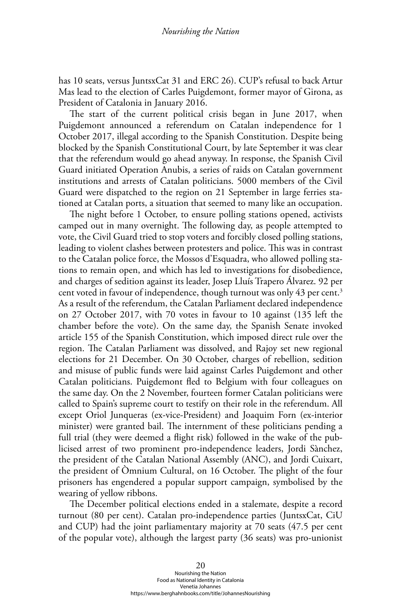has 10 seats, versus JuntsxCat 31 and ERC 26). CUP's refusal to back Artur Mas lead to the election of Carles Puigdemont, former mayor of Girona, as President of Catalonia in January 2016.

The start of the current political crisis began in June 2017, when Puigdemont announced a referendum on Catalan independence for 1 October 2017, illegal according to the Spanish Constitution. Despite being blocked by the Spanish Constitutional Court, by late September it was clear that the referendum would go ahead anyway. In response, the Spanish Civil Guard initiated Operation Anubis, a series of raids on Catalan government institutions and arrests of Catalan politicians. 5000 members of the Civil Guard were dispatched to the region on 21 September in large ferries stationed at Catalan ports, a situation that seemed to many like an occupation.

The night before 1 October, to ensure polling stations opened, activists camped out in many overnight. The following day, as people attempted to vote, the Civil Guard tried to stop voters and forcibly closed polling stations, leading to violent clashes between protesters and police. This was in contrast to the Catalan police force, the Mossos d'Esquadra, who allowed polling stations to remain open, and which has led to investigations for disobedience, and charges of sedition against its leader, Josep Lluís Trapero Álvarez. 92 per cent voted in favour of independence, though turnout was only 43 per cent.<sup>3</sup> As a result of the referendum, the Catalan Parliament declared independence on 27 October 2017, with 70 votes in favour to 10 against (135 left the chamber before the vote). On the same day, the Spanish Senate invoked article 155 of the Spanish Constitution, which imposed direct rule over the region. The Catalan Parliament was dissolved, and Rajoy set new regional elections for 21 December. On 30 October, charges of rebellion, sedition and misuse of public funds were laid against Carles Puigdemont and other Catalan politicians. Puigdemont fled to Belgium with four colleagues on the same day. On the 2 November, fourteen former Catalan politicians were called to Spain's supreme court to testify on their role in the referendum. All except Oriol Junqueras (ex-vice-President) and Joaquim Forn (ex-interior minister) were granted bail. The internment of these politicians pending a full trial (they were deemed a flight risk) followed in the wake of the publicised arrest of two prominent pro-independence leaders, Jordi Sànchez, the president of the Catalan National Assembly (ANC), and Jordi Cuixart, the president of Òmnium Cultural, on 16 October. The plight of the four prisoners has engendered a popular support campaign, symbolised by the wearing of yellow ribbons.

The December political elections ended in a stalemate, despite a record turnout (80 per cent). Catalan pro-independence parties (JuntsxCat, CiU and CUP) had the joint parliamentary majority at 70 seats (47.5 per cent of the popular vote), although the largest party (36 seats) was pro-unionist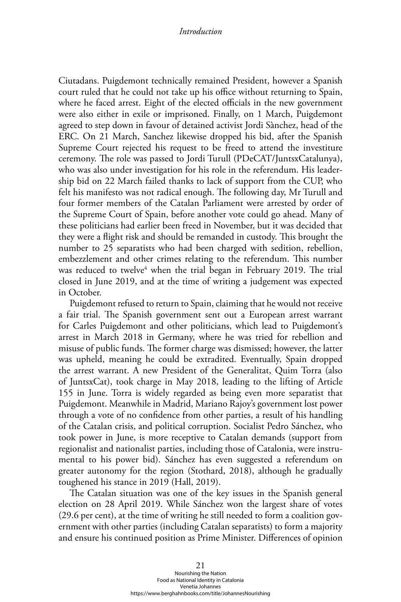Ciutadans. Puigdemont technically remained President, however a Spanish court ruled that he could not take up his office without returning to Spain, where he faced arrest. Eight of the elected officials in the new government were also either in exile or imprisoned. Finally, on 1 March, Puigdemont agreed to step down in favour of detained activist Jordi Sànchez, head of the ERC. On 21 March, Sanchez likewise dropped his bid, after the Spanish Supreme Court rejected his request to be freed to attend the investiture ceremony. The role was passed to Jordi Turull (PDeCAT/JuntsxCatalunya), who was also under investigation for his role in the referendum. His leadership bid on 22 March failed thanks to lack of support from the CUP, who felt his manifesto was not radical enough. The following day, Mr Turull and four former members of the Catalan Parliament were arrested by order of the Supreme Court of Spain, before another vote could go ahead. Many of these politicians had earlier been freed in November, but it was decided that they were a flight risk and should be remanded in custody. This brought the number to 25 separatists who had been charged with sedition, rebellion, embezzlement and other crimes relating to the referendum. This number was reduced to twelve<sup>4</sup> when the trial began in February 2019. The trial closed in June 2019, and at the time of writing a judgement was expected in October.

Puigdemont refused to return to Spain, claiming that he would not receive a fair trial. The Spanish government sent out a European arrest warrant for Carles Puigdemont and other politicians, which lead to Puigdemont's arrest in March 2018 in Germany, where he was tried for rebellion and misuse of public funds. The former charge was dismissed; however, the latter was upheld, meaning he could be extradited. Eventually, Spain dropped the arrest warrant. A new President of the Generalitat, Quim Torra (also of JuntsxCat), took charge in May 2018, leading to the lifting of Article 155 in June. Torra is widely regarded as being even more separatist that Puigdemont. Meanwhile in Madrid, Mariano Rajoy's government lost power through a vote of no confidence from other parties, a result of his handling of the Catalan crisis, and political corruption. Socialist Pedro Sánchez, who took power in June, is more receptive to Catalan demands (support from regionalist and nationalist parties, including those of Catalonia, were instrumental to his power bid). Sánchez has even suggested a referendum on greater autonomy for the region (Stothard, 2018), although he gradually toughened his stance in 2019 (Hall, 2019).

The Catalan situation was one of the key issues in the Spanish general election on 28 April 2019. While Sánchez won the largest share of votes (29.6 per cent), at the time of writing he still needed to form a coalition government with other parties (including Catalan separatists) to form a majority and ensure his continued position as Prime Minister. Differences of opinion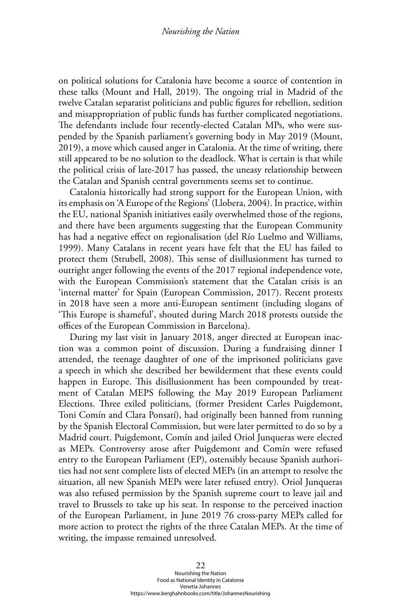on political solutions for Catalonia have become a source of contention in these talks (Mount and Hall, 2019). The ongoing trial in Madrid of the twelve Catalan separatist politicians and public figures for rebellion, sedition and misappropriation of public funds has further complicated negotiations. The defendants include four recently-elected Catalan MPs, who were suspended by the Spanish parliament's governing body in May 2019 (Mount, 2019), a move which caused anger in Catalonia. At the time of writing, there still appeared to be no solution to the deadlock. What is certain is that while the political crisis of late-2017 has passed, the uneasy relationship between the Catalan and Spanish central governments seems set to continue.

Catalonia historically had strong support for the European Union, with its emphasis on 'A Europe of the Regions' (Llobera, 2004). In practice, within the EU, national Spanish initiatives easily overwhelmed those of the regions, and there have been arguments suggesting that the European Community has had a negative effect on regionalisation (del Río Luelmo and Williams, 1999). Many Catalans in recent years have felt that the EU has failed to protect them (Strubell, 2008). This sense of disillusionment has turned to outright anger following the events of the 2017 regional independence vote, with the European Commission's statement that the Catalan crisis is an 'internal matter' for Spain (European Commission, 2017). Recent protests in 2018 have seen a more anti-European sentiment (including slogans of 'This Europe is shameful', shouted during March 2018 protests outside the offices of the European Commission in Barcelona).

During my last visit in January 2018, anger directed at European inaction was a common point of discussion. During a fundraising dinner I attended, the teenage daughter of one of the imprisoned politicians gave a speech in which she described her bewilderment that these events could happen in Europe. This disillusionment has been compounded by treatment of Catalan MEPS following the May 2019 European Parliament Elections. Three exiled politicians, (former President Carles Puigdemont, Toni Comín and Clara Ponsatí), had originally been banned from running by the Spanish Electoral Commission, but were later permitted to do so by a Madrid court. Puigdemont, Comín and jailed Oriol Junqueras were elected as MEPs. Controversy arose after Puigdemont and Comín were refused entry to the European Parliament (EP), ostensibly because Spanish authorities had not sent complete lists of elected MEPs (in an attempt to resolve the situation, all new Spanish MEPs were later refused entry). Oriol Junqueras was also refused permission by the Spanish supreme court to leave jail and travel to Brussels to take up his seat. In response to the perceived inaction of the European Parliament, in June 2019 76 cross-party MEPs called for more action to protect the rights of the three Catalan MEPs. At the time of writing, the impasse remained unresolved.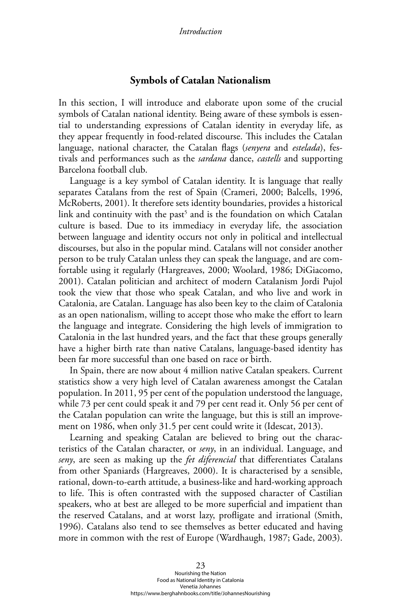# **Symbols of Catalan Nationalism**

In this section, I will introduce and elaborate upon some of the crucial symbols of Catalan national identity. Being aware of these symbols is essential to understanding expressions of Catalan identity in everyday life, as they appear frequently in food-related discourse. This includes the Catalan language, national character, the Catalan flags (*senyera* and *estelada*), festivals and performances such as the *sardana* dance, *castells* and supporting Barcelona football club.

Language is a key symbol of Catalan identity. It is language that really separates Catalans from the rest of Spain (Crameri, 2000; Balcells, 1996, McRoberts, 2001). It therefore sets identity boundaries, provides a historical link and continuity with the past<sup>5</sup> and is the foundation on which Catalan culture is based. Due to its immediacy in everyday life, the association between language and identity occurs not only in political and intellectual discourses, but also in the popular mind. Catalans will not consider another person to be truly Catalan unless they can speak the language, and are comfortable using it regularly (Hargreaves, 2000; Woolard, 1986; DiGiacomo, 2001). Catalan politician and architect of modern Catalanism Jordi Pujol took the view that those who speak Catalan, and who live and work in Catalonia, are Catalan. Language has also been key to the claim of Catalonia as an open nationalism, willing to accept those who make the effort to learn the language and integrate. Considering the high levels of immigration to Catalonia in the last hundred years, and the fact that these groups generally have a higher birth rate than native Catalans, language-based identity has been far more successful than one based on race or birth.

In Spain, there are now about 4 million native Catalan speakers. Current statistics show a very high level of Catalan awareness amongst the Catalan population. In 2011, 95 per cent of the population understood the language, while 73 per cent could speak it and 79 per cent read it. Only 56 per cent of the Catalan population can write the language, but this is still an improvement on 1986, when only 31.5 per cent could write it (Idescat, 2013).

Learning and speaking Catalan are believed to bring out the characteristics of the Catalan character, or *seny*, in an individual. Language, and *seny*, are seen as making up the *fet diferencial* that differentiates Catalans from other Spaniards (Hargreaves, 2000). It is characterised by a sensible, rational, down-to-earth attitude, a business-like and hard-working approach to life. This is often contrasted with the supposed character of Castilian speakers, who at best are alleged to be more superficial and impatient than the reserved Catalans, and at worst lazy, profligate and irrational (Smith, 1996). Catalans also tend to see themselves as better educated and having more in common with the rest of Europe (Wardhaugh, 1987; Gade, 2003).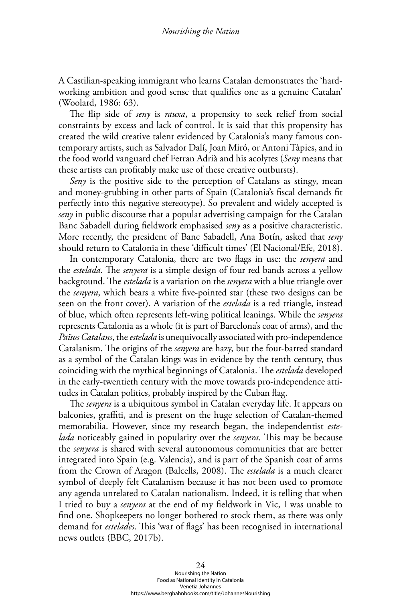A Castilian-speaking immigrant who learns Catalan demonstrates the 'hardworking ambition and good sense that qualifies one as a genuine Catalan' (Woolard, 1986: 63).

The flip side of *seny* is *rauxa*, a propensity to seek relief from social constraints by excess and lack of control. It is said that this propensity has created the wild creative talent evidenced by Catalonia's many famous contemporary artists, such as Salvador Dalí, Joan Miró, or Antoni Tàpies, and in the food world vanguard chef Ferran Adrià and his acolytes (*Seny* means that these artists can profitably make use of these creative outbursts).

*Seny* is the positive side to the perception of Catalans as stingy, mean and money-grubbing in other parts of Spain (Catalonia's fiscal demands fit perfectly into this negative stereotype). So prevalent and widely accepted is *seny* in public discourse that a popular advertising campaign for the Catalan Banc Sabadell during fieldwork emphasised *seny* as a positive characteristic. More recently, the president of Banc Sabadell, Ana Botín, asked that *seny*  should return to Catalonia in these 'difficult times' (El Nacional/Efe, 2018).

In contemporary Catalonia, there are two flags in use: the *senyera* and the *estelada*. The *senyera* is a simple design of four red bands across a yellow background. The *estelada* is a variation on the *senyera* with a blue triangle over the *senyera*, which bears a white five-pointed star (these two designs can be seen on the front cover). A variation of the *estelada* is a red triangle, instead of blue, which often represents left-wing political leanings. While the *senyera*  represents Catalonia as a whole (it is part of Barcelona's coat of arms), and the *Països Catalans*, the *estelada* is unequivocally associated with pro-independence Catalanism. The origins of the *senyera* are hazy, but the four-barred standard as a symbol of the Catalan kings was in evidence by the tenth century, thus coinciding with the mythical beginnings of Catalonia. The *estelada* developed in the early-twentieth century with the move towards pro-independence attitudes in Catalan politics, probably inspired by the Cuban flag.

The *senyera* is a ubiquitous symbol in Catalan everyday life. It appears on balconies, graffiti, and is present on the huge selection of Catalan-themed memorabilia. However, since my research began, the independentist *estelada* noticeably gained in popularity over the *senyera*. This may be because the *senyera* is shared with several autonomous communities that are better integrated into Spain (e.g. Valencia), and is part of the Spanish coat of arms from the Crown of Aragon (Balcells, 2008). The *estelada* is a much clearer symbol of deeply felt Catalanism because it has not been used to promote any agenda unrelated to Catalan nationalism. Indeed, it is telling that when I tried to buy a *senyera* at the end of my fieldwork in Vic, I was unable to find one. Shopkeepers no longer bothered to stock them, as there was only demand for *estelades*. This 'war of flags' has been recognised in international news outlets (BBC, 2017b).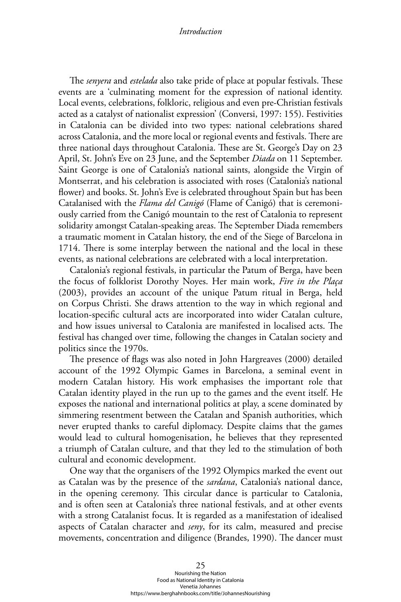The *senyera* and *estelada* also take pride of place at popular festivals. These events are a 'culminating moment for the expression of national identity. Local events, celebrations, folkloric, religious and even pre-Christian festivals acted as a catalyst of nationalist expression' (Conversi, 1997: 155). Festivities in Catalonia can be divided into two types: national celebrations shared across Catalonia, and the more local or regional events and festivals. There are three national days throughout Catalonia. These are St. George's Day on 23 April, St. John's Eve on 23 June, and the September *Diada* on 11 September. Saint George is one of Catalonia's national saints, alongside the Virgin of Montserrat, and his celebration is associated with roses (Catalonia's national flower) and books. St. John's Eve is celebrated throughout Spain but has been Catalanised with the *Flama del Canigó* (Flame of Canigó) that is ceremoniously carried from the Canigó mountain to the rest of Catalonia to represent solidarity amongst Catalan-speaking areas. The September Diada remembers a traumatic moment in Catalan history, the end of the Siege of Barcelona in 1714. There is some interplay between the national and the local in these events, as national celebrations are celebrated with a local interpretation.

Catalonia's regional festivals, in particular the Patum of Berga, have been the focus of folklorist Dorothy Noyes. Her main work, *Fire in the Plaça* (2003), provides an account of the unique Patum ritual in Berga, held on Corpus Christi. She draws attention to the way in which regional and location-specific cultural acts are incorporated into wider Catalan culture, and how issues universal to Catalonia are manifested in localised acts. The festival has changed over time, following the changes in Catalan society and politics since the 1970s.

The presence of flags was also noted in John Hargreaves (2000) detailed account of the 1992 Olympic Games in Barcelona, a seminal event in modern Catalan history. His work emphasises the important role that Catalan identity played in the run up to the games and the event itself. He exposes the national and international politics at play, a scene dominated by simmering resentment between the Catalan and Spanish authorities, which never erupted thanks to careful diplomacy. Despite claims that the games would lead to cultural homogenisation, he believes that they represented a triumph of Catalan culture, and that they led to the stimulation of both cultural and economic development.

One way that the organisers of the 1992 Olympics marked the event out as Catalan was by the presence of the *sardana*, Catalonia's national dance, in the opening ceremony. This circular dance is particular to Catalonia, and is often seen at Catalonia's three national festivals, and at other events with a strong Catalanist focus. It is regarded as a manifestation of idealised aspects of Catalan character and *seny*, for its calm, measured and precise movements, concentration and diligence (Brandes, 1990). The dancer must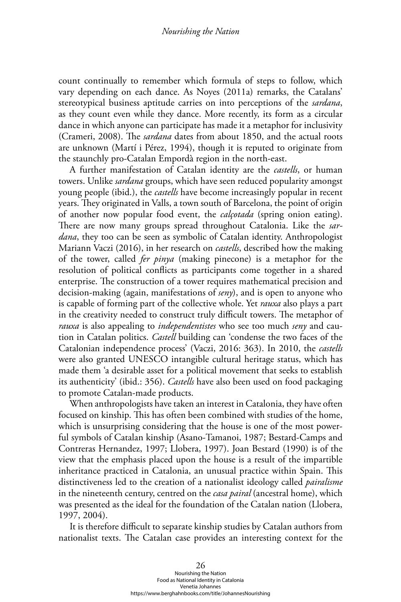#### *Nourishing the Nation*

count continually to remember which formula of steps to follow, which vary depending on each dance. As Noyes (2011a) remarks, the Catalans' stereotypical business aptitude carries on into perceptions of the *sardana*, as they count even while they dance. More recently, its form as a circular dance in which anyone can participate has made it a metaphor for inclusivity (Crameri, 2008). The *sardana* dates from about 1850, and the actual roots are unknown (Martí i Pérez, 1994), though it is reputed to originate from the staunchly pro-Catalan Empordà region in the north-east.

A further manifestation of Catalan identity are the *castells*, or human towers. Unlike *sardana* groups, which have seen reduced popularity amongst young people (ibid.), the *castells* have become increasingly popular in recent years. They originated in Valls, a town south of Barcelona, the point of origin of another now popular food event, the *calçotada* (spring onion eating). There are now many groups spread throughout Catalonia. Like the *sardana*, they too can be seen as symbolic of Catalan identity. Anthropologist Mariann Vaczi (2016), in her research on *castells*, described how the making of the tower, called *fer pinya* (making pinecone) is a metaphor for the resolution of political conflicts as participants come together in a shared enterprise. The construction of a tower requires mathematical precision and decision-making (again, manifestations of *seny*), and is open to anyone who is capable of forming part of the collective whole. Yet *rauxa* also plays a part in the creativity needed to construct truly difficult towers. The metaphor of *rauxa* is also appealing to *independentistes* who see too much *seny* and caution in Catalan politics. *Castell* building can 'condense the two faces of the Catalonian independence process' (Vaczi, 2016: 363). In 2010, the *castells*  were also granted UNESCO intangible cultural heritage status, which has made them 'a desirable asset for a political movement that seeks to establish its authenticity' (ibid.: 356). *Castells* have also been used on food packaging to promote Catalan-made products.

When anthropologists have taken an interest in Catalonia, they have often focused on kinship. This has often been combined with studies of the home, which is unsurprising considering that the house is one of the most powerful symbols of Catalan kinship (Asano-Tamanoi, 1987; Bestard-Camps and Contreras Hernandez, 1997; Llobera, 1997). Joan Bestard (1990) is of the view that the emphasis placed upon the house is a result of the impartible inheritance practiced in Catalonia, an unusual practice within Spain. This distinctiveness led to the creation of a nationalist ideology called *pairalisme*  in the nineteenth century, centred on the *casa pairal* (ancestral home), which was presented as the ideal for the foundation of the Catalan nation (Llobera, 1997, 2004).

It is therefore difficult to separate kinship studies by Catalan authors from nationalist texts. The Catalan case provides an interesting context for the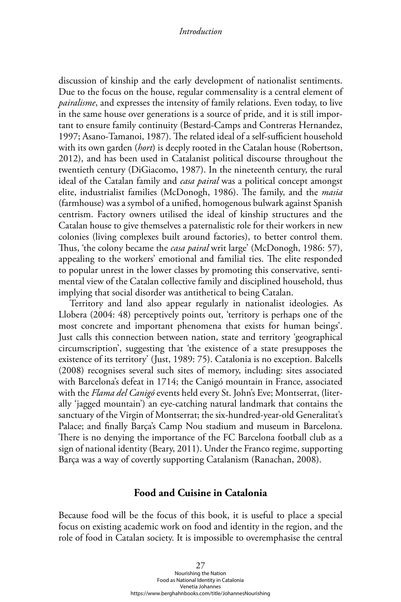discussion of kinship and the early development of nationalist sentiments. Due to the focus on the house, regular commensality is a central element of *pairalisme*, and expresses the intensity of family relations. Even today, to live in the same house over generations is a source of pride, and it is still important to ensure family continuity (Bestard-Camps and Contreras Hernandez, 1997; Asano-Tamanoi, 1987). The related ideal of a self-sufficient household with its own garden (*hort*) is deeply rooted in the Catalan house (Robertson, 2012), and has been used in Catalanist political discourse throughout the twentieth century (DiGiacomo, 1987). In the nineteenth century, the rural ideal of the Catalan family and *casa pairal* was a political concept amongst elite, industrialist families (McDonogh, 1986). The family, and the *masia* (farmhouse) was a symbol of a unified, homogenous bulwark against Spanish centrism. Factory owners utilised the ideal of kinship structures and the Catalan house to give themselves a paternalistic role for their workers in new colonies (living complexes built around factories), to better control them. Thus, 'the colony became the *casa pairal* writ large' (McDonogh, 1986: 57), appealing to the workers' emotional and familial ties. The elite responded to popular unrest in the lower classes by promoting this conservative, sentimental view of the Catalan collective family and disciplined household, thus implying that social disorder was antithetical to being Catalan.

Territory and land also appear regularly in nationalist ideologies. As Llobera (2004: 48) perceptively points out, 'territory is perhaps one of the most concrete and important phenomena that exists for human beings'. Just calls this connection between nation, state and territory 'geographical circumscription', suggesting that 'the existence of a state presupposes the existence of its territory' (Just, 1989: 75). Catalonia is no exception. Balcells (2008) recognises several such sites of memory, including: sites associated with Barcelona's defeat in 1714; the Canigó mountain in France, associated with the *Flama del Canigó* events held every St. John's Eve; Montserrat, (literally 'jagged mountain') an eye-catching natural landmark that contains the sanctuary of the Virgin of Montserrat; the six-hundred-year-old Generalitat's Palace; and finally Barça's Camp Nou stadium and museum in Barcelona. There is no denying the importance of the FC Barcelona football club as a sign of national identity (Beary, 2011). Under the Franco regime, supporting Barça was a way of covertly supporting Catalanism (Ranachan, 2008).

# **Food and Cuisine in Catalonia**

Because food will be the focus of this book, it is useful to place a special focus on existing academic work on food and identity in the region, and the role of food in Catalan society. It is impossible to overemphasise the central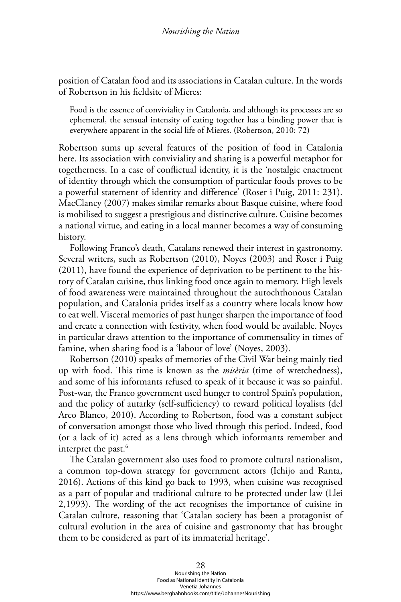position of Catalan food and its associations in Catalan culture. In the words of Robertson in his fieldsite of Mieres:

Food is the essence of conviviality in Catalonia, and although its processes are so ephemeral, the sensual intensity of eating together has a binding power that is everywhere apparent in the social life of Mieres. (Robertson, 2010: 72)

Robertson sums up several features of the position of food in Catalonia here. Its association with conviviality and sharing is a powerful metaphor for togetherness. In a case of conflictual identity, it is the 'nostalgic enactment of identity through which the consumption of particular foods proves to be a powerful statement of identity and difference' (Roser i Puig, 2011: 231). MacClancy (2007) makes similar remarks about Basque cuisine, where food is mobilised to suggest a prestigious and distinctive culture. Cuisine becomes a national virtue, and eating in a local manner becomes a way of consuming history.

Following Franco's death, Catalans renewed their interest in gastronomy. Several writers, such as Robertson (2010), Noyes (2003) and Roser i Puig (2011), have found the experience of deprivation to be pertinent to the history of Catalan cuisine, thus linking food once again to memory. High levels of food awareness were maintained throughout the autochthonous Catalan population, and Catalonia prides itself as a country where locals know how to eat well. Visceral memories of past hunger sharpen the importance of food and create a connection with festivity, when food would be available. Noyes in particular draws attention to the importance of commensality in times of famine, when sharing food is a 'labour of love' (Noyes, 2003).

Robertson (2010) speaks of memories of the Civil War being mainly tied up with food. This time is known as the *misèria* (time of wretchedness), and some of his informants refused to speak of it because it was so painful. Post-war, the Franco government used hunger to control Spain's population, and the policy of autarky (self-sufficiency) to reward political loyalists (del Arco Blanco, 2010). According to Robertson, food was a constant subject of conversation amongst those who lived through this period. Indeed, food (or a lack of it) acted as a lens through which informants remember and interpret the past.<sup>6</sup>

The Catalan government also uses food to promote cultural nationalism, a common top-down strategy for government actors (Ichijo and Ranta, 2016). Actions of this kind go back to 1993, when cuisine was recognised as a part of popular and traditional culture to be protected under law (Llei 2,1993). The wording of the act recognises the importance of cuisine in Catalan culture, reasoning that 'Catalan society has been a protagonist of cultural evolution in the area of cuisine and gastronomy that has brought them to be considered as part of its immaterial heritage'.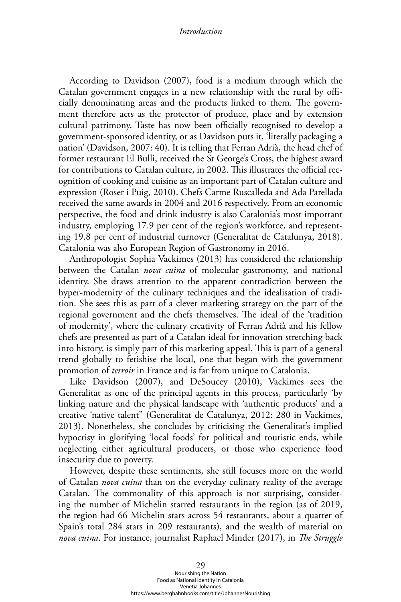According to Davidson (2007), food is a medium through which the Catalan government engages in a new relationship with the rural by officially denominating areas and the products linked to them. The government therefore acts as the protector of produce, place and by extension cultural patrimony. Taste has now been officially recognised to develop a government-sponsored identity, or as Davidson puts it, 'literally packaging a nation' (Davidson, 2007: 40). It is telling that Ferran Adrià, the head chef of former restaurant El Bulli, received the St George's Cross, the highest award for contributions to Catalan culture, in 2002. This illustrates the official recognition of cooking and cuisine as an important part of Catalan culture and expression (Roser i Puig, 2010). Chefs Carme Ruscalleda and Ada Parellada received the same awards in 2004 and 2016 respectively. From an economic perspective, the food and drink industry is also Catalonia's most important industry, employing 17.9 per cent of the region's workforce, and representing 19.8 per cent of industrial turnover (Generalitat de Catalunya, 2018). Catalonia was also European Region of Gastronomy in 2016.

Anthropologist Sophia Vackimes (2013) has considered the relationship between the Catalan *nova cuina* of molecular gastronomy, and national identity. She draws attention to the apparent contradiction between the hyper-modernity of the culinary techniques and the idealisation of tradition. She sees this as part of a clever marketing strategy on the part of the regional government and the chefs themselves. The ideal of the 'tradition of modernity', where the culinary creativity of Ferran Adrià and his fellow chefs are presented as part of a Catalan ideal for innovation stretching back into history, is simply part of this marketing appeal. This is part of a general trend globally to fetishise the local, one that began with the government promotion of *terroir* in France and is far from unique to Catalonia.

Like Davidson (2007), and DeSoucey (2010), Vackimes sees the Generalitat as one of the principal agents in this process, particularly 'by linking nature and the physical landscape with 'authentic products' and a creative 'native talent'' (Generalitat de Catalunya, 2012: 280 in Vackimes, 2013). Nonetheless, she concludes by criticising the Generalitat's implied hypocrisy in glorifying 'local foods' for political and touristic ends, while neglecting either agricultural producers, or those who experience food insecurity due to poverty.

However, despite these sentiments, she still focuses more on the world of Catalan *nova cuina* than on the everyday culinary reality of the average Catalan. The commonality of this approach is not surprising, considering the number of Michelin starred restaurants in the region (as of 2019, the region had 66 Michelin stars across 54 restaurants, about a quarter of Spain's total 284 stars in 209 restaurants), and the wealth of material on *nova cuina*. For instance, journalist Raphael Minder (2017), in *The Struggle*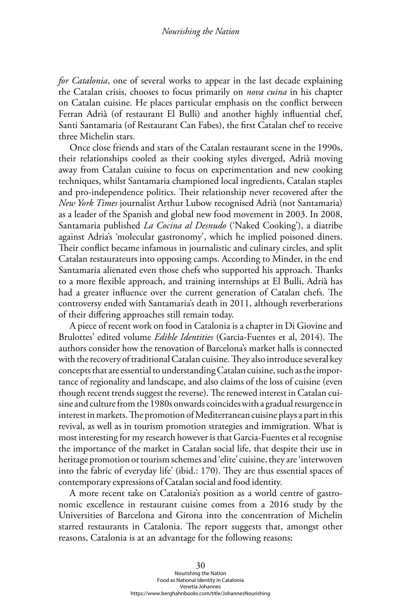*for Catalonia*, one of several works to appear in the last decade explaining the Catalan crisis, chooses to focus primarily on *nova cuina* in his chapter on Catalan cuisine. He places particular emphasis on the conflict between Ferran Adrià (of restaurant El Bulli) and another highly influential chef, Santi Santamaria (of Restaurant Can Fabes), the first Catalan chef to receive three Michelin stars.

Once close friends and stars of the Catalan restaurant scene in the 1990s, their relationships cooled as their cooking styles diverged, Adrià moving away from Catalan cuisine to focus on experimentation and new cooking techniques, whilst Santamaria championed local ingredients, Catalan staples and pro-independence politics. Their relationship never recovered after the *New York Times* journalist Arthur Lubow recognised Adrià (not Santamaria) as a leader of the Spanish and global new food movement in 2003. In 2008, Santamaria published *La Cocina al Desnudo* ('Naked Cooking'), a diatribe against Adria's 'molecular gastronomy', which he implied poisoned diners. Their conflict became infamous in journalistic and culinary circles, and split Catalan restaurateurs into opposing camps. According to Minder, in the end Santamaria alienated even those chefs who supported his approach. Thanks to a more flexible approach, and training internships at El Bulli, Adrià has had a greater influence over the current generation of Catalan chefs. The controversy ended with Santamaria's death in 2011, although reverberations of their differing approaches still remain today.

A piece of recent work on food in Catalonia is a chapter in Di Giovine and Brulottes' edited volume *Edible Identities* (Garcia-Fuentes et al, 2014). The authors consider how the renovation of Barcelona's market halls is connected with the recovery of traditional Catalan cuisine. They also introduce several key concepts that are essential to understanding Catalan cuisine, such as the importance of regionality and landscape, and also claims of the loss of cuisine (even though recent trends suggest the reverse). The renewed interest in Catalan cuisine and culture from the 1980s onwards coincides with a gradual resurgence in interest in markets. The promotion of Mediterranean cuisine plays a part in this revival, as well as in tourism promotion strategies and immigration. What is most interesting for my research however is that Garcia-Fuentes et al recognise the importance of the market in Catalan social life, that despite their use in heritage promotion or tourism schemes and 'elite' cuisine, they are 'interwoven into the fabric of everyday life' (ibid.: 170). They are thus essential spaces of contemporary expressions of Catalan social and food identity.

A more recent take on Catalonia's position as a world centre of gastronomic excellence in restaurant cuisine comes from a 2016 study by the Universities of Barcelona and Girona into the concentration of Michelin starred restaurants in Catalonia. The report suggests that, amongst other reasons, Catalonia is at an advantage for the following reasons: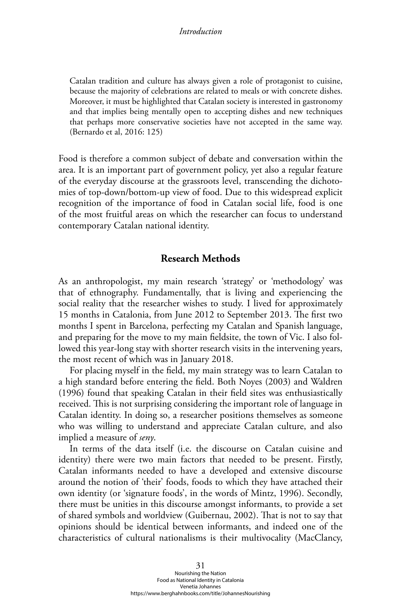Catalan tradition and culture has always given a role of protagonist to cuisine, because the majority of celebrations are related to meals or with concrete dishes. Moreover, it must be highlighted that Catalan society is interested in gastronomy and that implies being mentally open to accepting dishes and new techniques that perhaps more conservative societies have not accepted in the same way. (Bernardo et al, 2016: 125)

Food is therefore a common subject of debate and conversation within the area. It is an important part of government policy, yet also a regular feature of the everyday discourse at the grassroots level, transcending the dichotomies of top-down/bottom-up view of food. Due to this widespread explicit recognition of the importance of food in Catalan social life, food is one of the most fruitful areas on which the researcher can focus to understand contemporary Catalan national identity.

# **Research Methods**

As an anthropologist, my main research 'strategy' or 'methodology' was that of ethnography. Fundamentally, that is living and experiencing the social reality that the researcher wishes to study. I lived for approximately 15 months in Catalonia, from June 2012 to September 2013. The first two months I spent in Barcelona, perfecting my Catalan and Spanish language, and preparing for the move to my main fieldsite, the town of Vic. I also followed this year-long stay with shorter research visits in the intervening years, the most recent of which was in January 2018.

For placing myself in the field, my main strategy was to learn Catalan to a high standard before entering the field. Both Noyes (2003) and Waldren (1996) found that speaking Catalan in their field sites was enthusiastically received. This is not surprising considering the important role of language in Catalan identity. In doing so, a researcher positions themselves as someone who was willing to understand and appreciate Catalan culture, and also implied a measure of *seny*.

In terms of the data itself (i.e. the discourse on Catalan cuisine and identity) there were two main factors that needed to be present. Firstly, Catalan informants needed to have a developed and extensive discourse around the notion of 'their' foods, foods to which they have attached their own identity (or 'signature foods', in the words of Mintz, 1996). Secondly, there must be unities in this discourse amongst informants, to provide a set of shared symbols and worldview (Guibernau, 2002). That is not to say that opinions should be identical between informants, and indeed one of the characteristics of cultural nationalisms is their multivocality (MacClancy,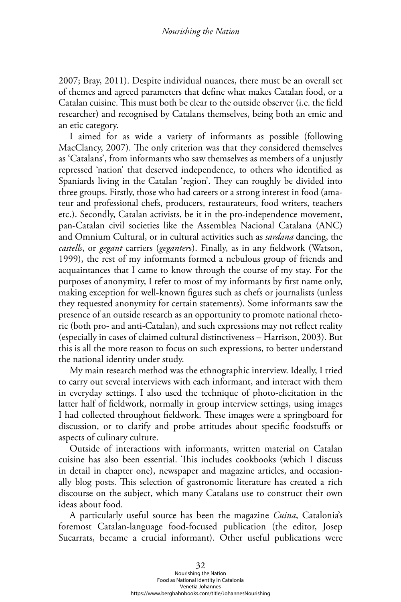2007; Bray, 2011). Despite individual nuances, there must be an overall set of themes and agreed parameters that define what makes Catalan food, or a Catalan cuisine. This must both be clear to the outside observer (i.e. the field researcher) and recognised by Catalans themselves, being both an emic and an etic category.

I aimed for as wide a variety of informants as possible (following MacClancy, 2007). The only criterion was that they considered themselves as 'Catalans', from informants who saw themselves as members of a unjustly repressed 'nation' that deserved independence, to others who identified as Spaniards living in the Catalan 'region'. They can roughly be divided into three groups. Firstly, those who had careers or a strong interest in food (amateur and professional chefs, producers, restaurateurs, food writers, teachers etc.). Secondly, Catalan activists, be it in the pro-independence movement, pan-Catalan civil societies like the Assemblea Nacional Catalana (ANC) and Omnium Cultural, or in cultural activities such as *sardana* dancing, the *castells*, or *gegant* carriers (*geganter*s). Finally, as in any fieldwork (Watson, 1999), the rest of my informants formed a nebulous group of friends and acquaintances that I came to know through the course of my stay. For the purposes of anonymity, I refer to most of my informants by first name only, making exception for well-known figures such as chefs or journalists (unless they requested anonymity for certain statements). Some informants saw the presence of an outside research as an opportunity to promote national rhetoric (both pro- and anti-Catalan), and such expressions may not reflect reality (especially in cases of claimed cultural distinctiveness – Harrison, 2003). But this is all the more reason to focus on such expressions, to better understand the national identity under study.

My main research method was the ethnographic interview. Ideally, I tried to carry out several interviews with each informant, and interact with them in everyday settings. I also used the technique of photo-elicitation in the latter half of fieldwork, normally in group interview settings, using images I had collected throughout fieldwork. These images were a springboard for discussion, or to clarify and probe attitudes about specific foodstuffs or aspects of culinary culture.

Outside of interactions with informants, written material on Catalan cuisine has also been essential. This includes cookbooks (which I discuss in detail in chapter one), newspaper and magazine articles, and occasionally blog posts. This selection of gastronomic literature has created a rich discourse on the subject, which many Catalans use to construct their own ideas about food.

A particularly useful source has been the magazine *Cuina*, Catalonia's foremost Catalan-language food-focused publication (the editor, Josep Sucarrats, became a crucial informant). Other useful publications were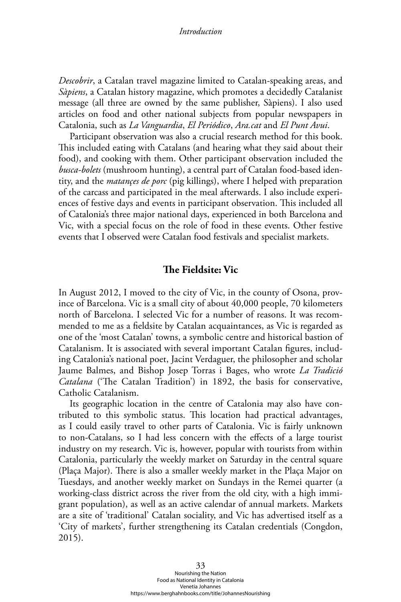*Descobrir*, a Catalan travel magazine limited to Catalan-speaking areas, and *Sàpiens*, a Catalan history magazine, which promotes a decidedly Catalanist message (all three are owned by the same publisher, Sàpiens). I also used articles on food and other national subjects from popular newspapers in Catalonia, such as *La Vanguardia*, *El Periódico*, *Ara.cat* and *El Punt Avui*.

Participant observation was also a crucial research method for this book. This included eating with Catalans (and hearing what they said about their food), and cooking with them. Other participant observation included the *busca-bolets* (mushroom hunting), a central part of Catalan food-based identity, and the *matançes de porc* (pig killings), where I helped with preparation of the carcass and participated in the meal afterwards. I also include experiences of festive days and events in participant observation. This included all of Catalonia's three major national days, experienced in both Barcelona and Vic, with a special focus on the role of food in these events. Other festive events that I observed were Catalan food festivals and specialist markets.

# **The Fieldsite: Vic**

In August 2012, I moved to the city of Vic, in the county of Osona, province of Barcelona. Vic is a small city of about 40,000 people, 70 kilometers north of Barcelona. I selected Vic for a number of reasons. It was recommended to me as a fieldsite by Catalan acquaintances, as Vic is regarded as one of the 'most Catalan' towns, a symbolic centre and historical bastion of Catalanism. It is associated with several important Catalan figures, including Catalonia's national poet, Jacint Verdaguer, the philosopher and scholar Jaume Balmes, and Bishop Josep Torras i Bages, who wrote *La Tradició Catalana* ('The Catalan Tradition') in 1892, the basis for conservative, Catholic Catalanism.

Its geographic location in the centre of Catalonia may also have contributed to this symbolic status. This location had practical advantages, as I could easily travel to other parts of Catalonia. Vic is fairly unknown to non-Catalans, so I had less concern with the effects of a large tourist industry on my research. Vic is, however, popular with tourists from within Catalonia, particularly the weekly market on Saturday in the central square (Plaça Major). There is also a smaller weekly market in the Plaça Major on Tuesdays, and another weekly market on Sundays in the Remei quarter (a working-class district across the river from the old city, with a high immigrant population), as well as an active calendar of annual markets. Markets are a site of 'traditional' Catalan sociality, and Vic has advertised itself as a 'City of markets', further strengthening its Catalan credentials (Congdon, 2015).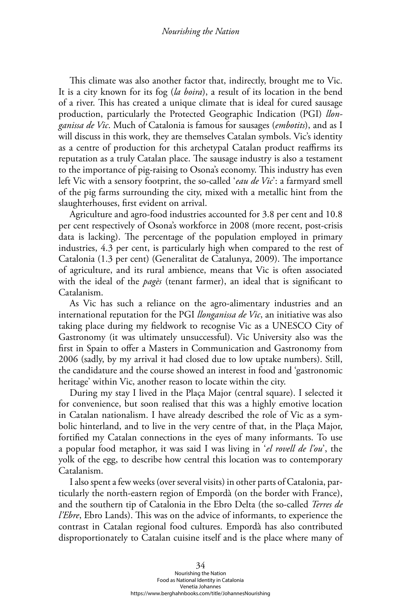#### *Nourishing the Nation*

This climate was also another factor that, indirectly, brought me to Vic. It is a city known for its fog (*la boira*), a result of its location in the bend of a river. This has created a unique climate that is ideal for cured sausage production, particularly the Protected Geographic Indication (PGI) *llonganissa de Vic*. Much of Catalonia is famous for sausages (*embotits*), and as I will discuss in this work, they are themselves Catalan symbols. Vic's identity as a centre of production for this archetypal Catalan product reaffirms its reputation as a truly Catalan place. The sausage industry is also a testament to the importance of pig-raising to Osona's economy. This industry has even left Vic with a sensory footprint, the so-called '*eau de Vic*': a farmyard smell of the pig farms surrounding the city, mixed with a metallic hint from the slaughterhouses, first evident on arrival.

Agriculture and agro-food industries accounted for 3.8 per cent and 10.8 per cent respectively of Osona's workforce in 2008 (more recent, post-crisis data is lacking). The percentage of the population employed in primary industries, 4.3 per cent, is particularly high when compared to the rest of Catalonia (1.3 per cent) (Generalitat de Catalunya, 2009). The importance of agriculture, and its rural ambience, means that Vic is often associated with the ideal of the *pagès* (tenant farmer), an ideal that is significant to Catalanism.

As Vic has such a reliance on the agro-alimentary industries and an international reputation for the PGI *llonganissa de Vic*, an initiative was also taking place during my fieldwork to recognise Vic as a UNESCO City of Gastronomy (it was ultimately unsuccessful). Vic University also was the first in Spain to offer a Masters in Communication and Gastronomy from 2006 (sadly, by my arrival it had closed due to low uptake numbers). Still, the candidature and the course showed an interest in food and 'gastronomic heritage' within Vic, another reason to locate within the city.

During my stay I lived in the Plaça Major (central square). I selected it for convenience, but soon realised that this was a highly emotive location in Catalan nationalism. I have already described the role of Vic as a symbolic hinterland, and to live in the very centre of that, in the Plaça Major, fortified my Catalan connections in the eyes of many informants. To use a popular food metaphor, it was said I was living in '*el rovell de l'ou*', the yolk of the egg, to describe how central this location was to contemporary Catalanism.

I also spent a few weeks (over several visits) in other parts of Catalonia, particularly the north-eastern region of Empordà (on the border with France), and the southern tip of Catalonia in the Ebro Delta (the so-called *Terres de l'Ebre*, Ebro Lands). This was on the advice of informants, to experience the contrast in Catalan regional food cultures. Empordà has also contributed disproportionately to Catalan cuisine itself and is the place where many of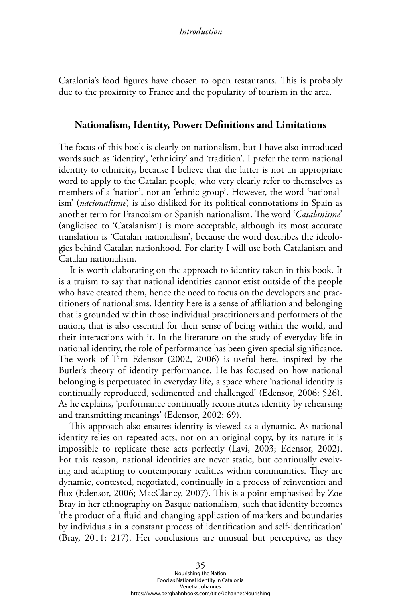Catalonia's food figures have chosen to open restaurants. This is probably due to the proximity to France and the popularity of tourism in the area.

# **Nationalism, Identity, Power: Definitions and Limitations**

The focus of this book is clearly on nationalism, but I have also introduced words such as 'identity', 'ethnicity' and 'tradition'. I prefer the term national identity to ethnicity, because I believe that the latter is not an appropriate word to apply to the Catalan people, who very clearly refer to themselves as members of a 'nation', not an 'ethnic group'. However, the word 'nationalism' (*nacionalisme*) is also disliked for its political connotations in Spain as another term for Francoism or Spanish nationalism. The word '*Catalanisme*' (anglicised to 'Catalanism') is more acceptable, although its most accurate translation is 'Catalan nationalism', because the word describes the ideologies behind Catalan nationhood. For clarity I will use both Catalanism and Catalan nationalism.

It is worth elaborating on the approach to identity taken in this book. It is a truism to say that national identities cannot exist outside of the people who have created them, hence the need to focus on the developers and practitioners of nationalisms. Identity here is a sense of affiliation and belonging that is grounded within those individual practitioners and performers of the nation, that is also essential for their sense of being within the world, and their interactions with it. In the literature on the study of everyday life in national identity, the role of performance has been given special significance. The work of Tim Edensor (2002, 2006) is useful here, inspired by the Butler's theory of identity performance. He has focused on how national belonging is perpetuated in everyday life, a space where 'national identity is continually reproduced, sedimented and challenged' (Edensor, 2006: 526). As he explains, 'performance continually reconstitutes identity by rehearsing and transmitting meanings' (Edensor, 2002: 69).

This approach also ensures identity is viewed as a dynamic. As national identity relies on repeated acts, not on an original copy, by its nature it is impossible to replicate these acts perfectly (Lavi, 2003; Edensor, 2002). For this reason, national identities are never static, but continually evolving and adapting to contemporary realities within communities. They are dynamic, contested, negotiated, continually in a process of reinvention and flux (Edensor, 2006; MacClancy, 2007). This is a point emphasised by Zoe Bray in her ethnography on Basque nationalism, such that identity becomes 'the product of a fluid and changing application of markers and boundaries by individuals in a constant process of identification and self-identification' (Bray, 2011: 217). Her conclusions are unusual but perceptive, as they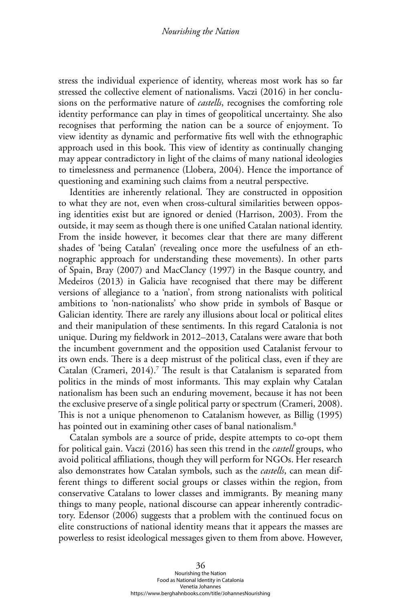#### *Nourishing the Nation*

stress the individual experience of identity, whereas most work has so far stressed the collective element of nationalisms. Vaczi (2016) in her conclusions on the performative nature of *castells*, recognises the comforting role identity performance can play in times of geopolitical uncertainty. She also recognises that performing the nation can be a source of enjoyment. To view identity as dynamic and performative fits well with the ethnographic approach used in this book. This view of identity as continually changing may appear contradictory in light of the claims of many national ideologies to timelessness and permanence (Llobera, 2004). Hence the importance of questioning and examining such claims from a neutral perspective.

Identities are inherently relational. They are constructed in opposition to what they are not, even when cross-cultural similarities between opposing identities exist but are ignored or denied (Harrison, 2003). From the outside, it may seem as though there is one unified Catalan national identity. From the inside however, it becomes clear that there are many different shades of 'being Catalan' (revealing once more the usefulness of an ethnographic approach for understanding these movements). In other parts of Spain, Bray (2007) and MacClancy (1997) in the Basque country, and Medeiros (2013) in Galicia have recognised that there may be different versions of allegiance to a 'nation', from strong nationalists with political ambitions to 'non-nationalists' who show pride in symbols of Basque or Galician identity. There are rarely any illusions about local or political elites and their manipulation of these sentiments. In this regard Catalonia is not unique. During my fieldwork in 2012–2013, Catalans were aware that both the incumbent government and the opposition used Catalanist fervour to its own ends. There is a deep mistrust of the political class, even if they are Catalan (Crameri, 2014).<sup>7</sup> The result is that Catalanism is separated from politics in the minds of most informants. This may explain why Catalan nationalism has been such an enduring movement, because it has not been the exclusive preserve of a single political party or spectrum (Crameri, 2008). This is not a unique phenomenon to Catalanism however, as Billig (1995) has pointed out in examining other cases of banal nationalism.<sup>8</sup>

Catalan symbols are a source of pride, despite attempts to co-opt them for political gain. Vaczi (2016) has seen this trend in the *castell* groups, who avoid political affiliations, though they will perform for NGOs. Her research also demonstrates how Catalan symbols, such as the *castells*, can mean different things to different social groups or classes within the region, from conservative Catalans to lower classes and immigrants. By meaning many things to many people, national discourse can appear inherently contradictory. Edensor (2006) suggests that a problem with the continued focus on elite constructions of national identity means that it appears the masses are powerless to resist ideological messages given to them from above. However,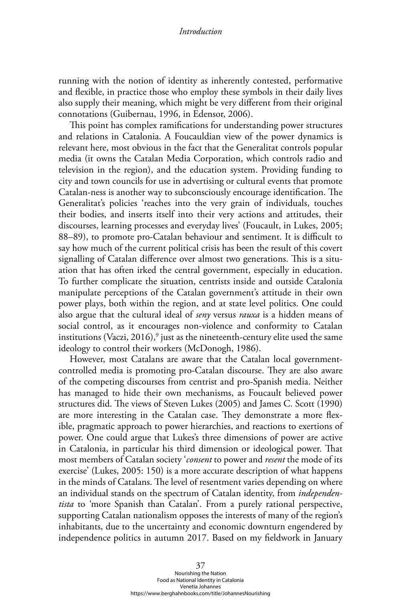running with the notion of identity as inherently contested, performative and flexible, in practice those who employ these symbols in their daily lives also supply their meaning, which might be very different from their original connotations (Guibernau, 1996, in Edensor, 2006).

This point has complex ramifications for understanding power structures and relations in Catalonia. A Foucauldian view of the power dynamics is relevant here, most obvious in the fact that the Generalitat controls popular media (it owns the Catalan Media Corporation, which controls radio and television in the region), and the education system. Providing funding to city and town councils for use in advertising or cultural events that promote Catalan-ness is another way to subconsciously encourage identification. The Generalitat's policies 'reaches into the very grain of individuals, touches their bodies, and inserts itself into their very actions and attitudes, their discourses, learning processes and everyday lives' (Foucault, in Lukes, 2005; 88–89), to promote pro-Catalan behaviour and sentiment. It is difficult to say how much of the current political crisis has been the result of this covert signalling of Catalan difference over almost two generations. This is a situation that has often irked the central government, especially in education. To further complicate the situation, centrists inside and outside Catalonia manipulate perceptions of the Catalan government's attitude in their own power plays, both within the region, and at state level politics. One could also argue that the cultural ideal of *seny* versus *rauxa* is a hidden means of social control, as it encourages non-violence and conformity to Catalan institutions (Vaczi, 2016), $^9$  just as the nineteenth-century elite used the same ideology to control their workers (McDonogh, 1986).

However, most Catalans are aware that the Catalan local governmentcontrolled media is promoting pro-Catalan discourse. They are also aware of the competing discourses from centrist and pro-Spanish media. Neither has managed to hide their own mechanisms, as Foucault believed power structures did. The views of Steven Lukes (2005) and James C. Scott (1990) are more interesting in the Catalan case. They demonstrate a more flexible, pragmatic approach to power hierarchies, and reactions to exertions of power. One could argue that Lukes's three dimensions of power are active in Catalonia, in particular his third dimension or ideological power. That most members of Catalan society '*consent* to power and *resent* the mode of its exercise' (Lukes, 2005: 150) is a more accurate description of what happens in the minds of Catalans. The level of resentment varies depending on where an individual stands on the spectrum of Catalan identity, from *independentista* to 'more Spanish than Catalan'. From a purely rational perspective, supporting Catalan nationalism opposes the interests of many of the region's inhabitants, due to the uncertainty and economic downturn engendered by independence politics in autumn 2017. Based on my fieldwork in January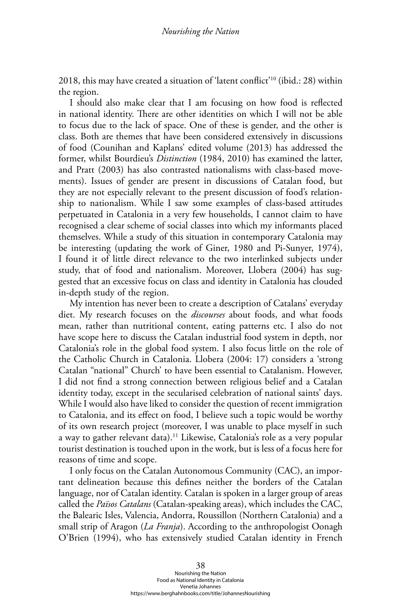2018, this may have created a situation of 'latent conflict'10 (ibid.: 28) within the region.

I should also make clear that I am focusing on how food is reflected in national identity. There are other identities on which I will not be able to focus due to the lack of space. One of these is gender, and the other is class. Both are themes that have been considered extensively in discussions of food (Counihan and Kaplans' edited volume (2013) has addressed the former, whilst Bourdieu's *Distinction* (1984, 2010) has examined the latter, and Pratt (2003) has also contrasted nationalisms with class-based movements). Issues of gender are present in discussions of Catalan food, but they are not especially relevant to the present discussion of food's relationship to nationalism. While I saw some examples of class-based attitudes perpetuated in Catalonia in a very few households, I cannot claim to have recognised a clear scheme of social classes into which my informants placed themselves. While a study of this situation in contemporary Catalonia may be interesting (updating the work of Giner, 1980 and Pi-Sunyer, 1974), I found it of little direct relevance to the two interlinked subjects under study, that of food and nationalism. Moreover, Llobera (2004) has suggested that an excessive focus on class and identity in Catalonia has clouded in-depth study of the region.

My intention has never been to create a description of Catalans' everyday diet. My research focuses on the *discourses* about foods, and what foods mean, rather than nutritional content, eating patterns etc. I also do not have scope here to discuss the Catalan industrial food system in depth, nor Catalonia's role in the global food system. I also focus little on the role of the Catholic Church in Catalonia. Llobera (2004: 17) considers a 'strong Catalan "national" Church' to have been essential to Catalanism. However, I did not find a strong connection between religious belief and a Catalan identity today, except in the secularised celebration of national saints' days. While I would also have liked to consider the question of recent immigration to Catalonia, and its effect on food, I believe such a topic would be worthy of its own research project (moreover, I was unable to place myself in such a way to gather relevant data).<sup>11</sup> Likewise, Catalonia's role as a very popular tourist destination is touched upon in the work, but is less of a focus here for reasons of time and scope.

I only focus on the Catalan Autonomous Community (CAC), an important delineation because this defines neither the borders of the Catalan language, nor of Catalan identity. Catalan is spoken in a larger group of areas called the *Països Catalans* (Catalan-speaking areas), which includes the CAC, the Balearic Isles, Valencia, Andorra, Roussillon (Northern Catalonia) and a small strip of Aragon (*La Franja*). According to the anthropologist Oonagh O'Brien (1994), who has extensively studied Catalan identity in French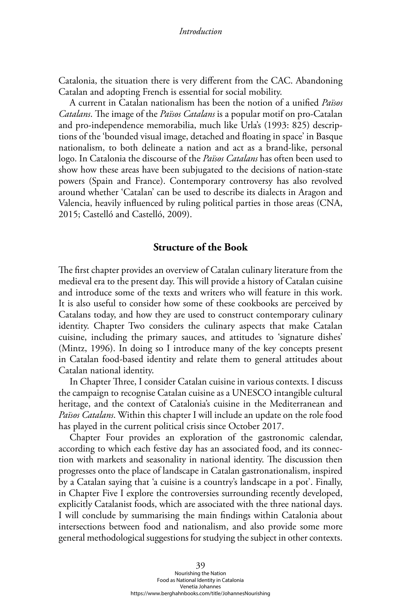Catalonia, the situation there is very different from the CAC. Abandoning Catalan and adopting French is essential for social mobility.

A current in Catalan nationalism has been the notion of a unified *Països Catalans*. The image of the *Països Catalans* is a popular motif on pro-Catalan and pro-independence memorabilia, much like Urla's (1993: 825) descriptions of the 'bounded visual image, detached and floating in space' in Basque nationalism, to both delineate a nation and act as a brand-like, personal logo. In Catalonia the discourse of the *Països Catalans* has often been used to show how these areas have been subjugated to the decisions of nation-state powers (Spain and France). Contemporary controversy has also revolved around whether 'Catalan' can be used to describe its dialects in Aragon and Valencia, heavily influenced by ruling political parties in those areas (CNA, 2015; Castelló and Castelló, 2009).

# **Structure of the Book**

The first chapter provides an overview of Catalan culinary literature from the medieval era to the present day. This will provide a history of Catalan cuisine and introduce some of the texts and writers who will feature in this work. It is also useful to consider how some of these cookbooks are perceived by Catalans today, and how they are used to construct contemporary culinary identity. Chapter Two considers the culinary aspects that make Catalan cuisine, including the primary sauces, and attitudes to 'signature dishes' (Mintz, 1996). In doing so I introduce many of the key concepts present in Catalan food-based identity and relate them to general attitudes about Catalan national identity.

In Chapter Three, I consider Catalan cuisine in various contexts. I discuss the campaign to recognise Catalan cuisine as a UNESCO intangible cultural heritage, and the context of Catalonia's cuisine in the Mediterranean and *Països Catalans*. Within this chapter I will include an update on the role food has played in the current political crisis since October 2017.

Chapter Four provides an exploration of the gastronomic calendar, according to which each festive day has an associated food, and its connection with markets and seasonality in national identity. The discussion then progresses onto the place of landscape in Catalan gastronationalism, inspired by a Catalan saying that 'a cuisine is a country's landscape in a pot'. Finally, in Chapter Five I explore the controversies surrounding recently developed, explicitly Catalanist foods, which are associated with the three national days. I will conclude by summarising the main findings within Catalonia about intersections between food and nationalism, and also provide some more general methodological suggestions for studying the subject in other contexts.